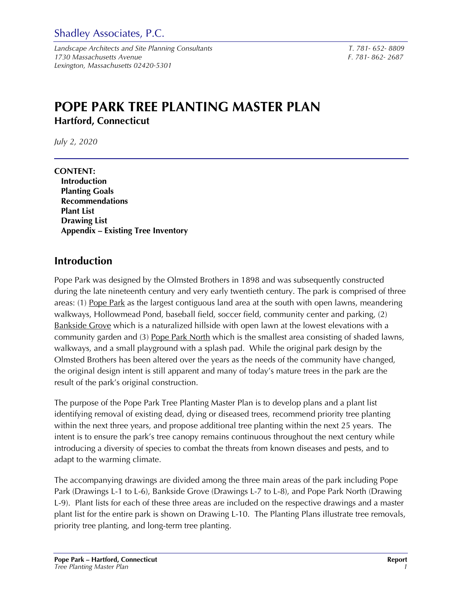Shadley Associates, P.C.

*Landscape Architects and Site Planning Consultants T. 781- 652- 8809 1730 Massachusetts Avenue F. 781- 862- 2687 Lexington, Massachusetts 02420-5301* 

# **POPE PARK TREE PLANTING MASTER PLAN Hartford, Connecticut**

*July 2, 2020* 

**CONTENT: Introduction Planting Goals Recommendations Plant List Drawing List Appendix – Existing Tree Inventory** 

### **Introduction**

Pope Park was designed by the Olmsted Brothers in 1898 and was subsequently constructed during the late nineteenth century and very early twentieth century. The park is comprised of three areas: (1) Pope Park as the largest contiguous land area at the south with open lawns, meandering walkways, Hollowmead Pond, baseball field, soccer field, community center and parking, (2) Bankside Grove which is a naturalized hillside with open lawn at the lowest elevations with a community garden and (3) Pope Park North which is the smallest area consisting of shaded lawns, walkways, and a small playground with a splash pad. While the original park design by the Olmsted Brothers has been altered over the years as the needs of the community have changed, the original design intent is still apparent and many of today's mature trees in the park are the result of the park's original construction.

The purpose of the Pope Park Tree Planting Master Plan is to develop plans and a plant list identifying removal of existing dead, dying or diseased trees, recommend priority tree planting within the next three years, and propose additional tree planting within the next 25 years. The intent is to ensure the park's tree canopy remains continuous throughout the next century while introducing a diversity of species to combat the threats from known diseases and pests, and to adapt to the warming climate.

The accompanying drawings are divided among the three main areas of the park including Pope Park (Drawings L-1 to L-6), Bankside Grove (Drawings L-7 to L-8), and Pope Park North (Drawing L-9). Plant lists for each of these three areas are included on the respective drawings and a master plant list for the entire park is shown on Drawing L-10. The Planting Plans illustrate tree removals, priority tree planting, and long-term tree planting.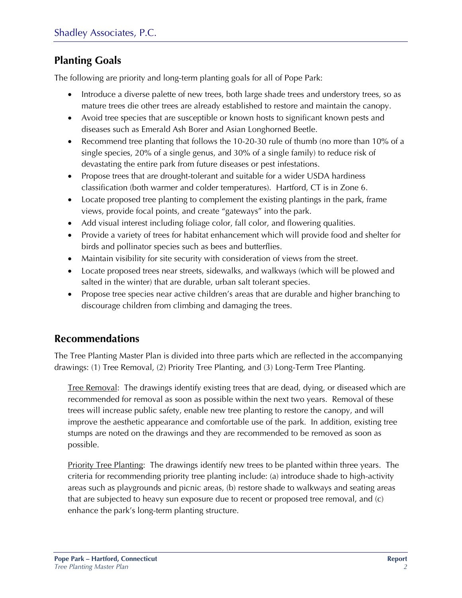### **Planting Goals**

The following are priority and long-term planting goals for all of Pope Park:

- Introduce a diverse palette of new trees, both large shade trees and understory trees, so as mature trees die other trees are already established to restore and maintain the canopy.
- Avoid tree species that are susceptible or known hosts to significant known pests and diseases such as Emerald Ash Borer and Asian Longhorned Beetle.
- Recommend tree planting that follows the 10-20-30 rule of thumb (no more than 10% of a single species, 20% of a single genus, and 30% of a single family) to reduce risk of devastating the entire park from future diseases or pest infestations.
- Propose trees that are drought-tolerant and suitable for a wider USDA hardiness classification (both warmer and colder temperatures). Hartford, CT is in Zone 6.
- Locate proposed tree planting to complement the existing plantings in the park, frame views, provide focal points, and create "gateways" into the park.
- Add visual interest including foliage color, fall color, and flowering qualities.
- Provide a variety of trees for habitat enhancement which will provide food and shelter for birds and pollinator species such as bees and butterflies.
- Maintain visibility for site security with consideration of views from the street.
- Locate proposed trees near streets, sidewalks, and walkways (which will be plowed and salted in the winter) that are durable, urban salt tolerant species.
- Propose tree species near active children's areas that are durable and higher branching to discourage children from climbing and damaging the trees.

### **Recommendations**

The Tree Planting Master Plan is divided into three parts which are reflected in the accompanying drawings: (1) Tree Removal, (2) Priority Tree Planting, and (3) Long-Term Tree Planting.

Tree Removal: The drawings identify existing trees that are dead, dying, or diseased which are recommended for removal as soon as possible within the next two years. Removal of these trees will increase public safety, enable new tree planting to restore the canopy, and will improve the aesthetic appearance and comfortable use of the park. In addition, existing tree stumps are noted on the drawings and they are recommended to be removed as soon as possible.

Priority Tree Planting: The drawings identify new trees to be planted within three years. The criteria for recommending priority tree planting include: (a) introduce shade to high-activity areas such as playgrounds and picnic areas, (b) restore shade to walkways and seating areas that are subjected to heavy sun exposure due to recent or proposed tree removal, and (c) enhance the park's long-term planting structure.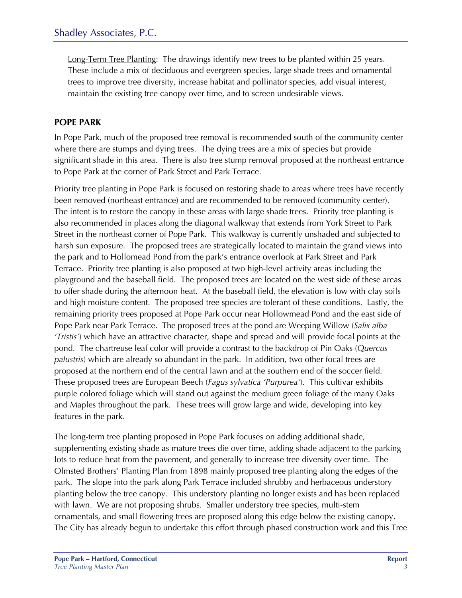Long-Term Tree Planting: The drawings identify new trees to be planted within 25 years. These include a mix of deciduous and evergreen species, large shade trees and ornamental trees to improve tree diversity, increase habitat and pollinator species, add visual interest, maintain the existing tree canopy over time, and to screen undesirable views.

### **POPE PARK**

In Pope Park, much of the proposed tree removal is recommended south of the community center where there are stumps and dying trees. The dying trees are a mix of species but provide significant shade in this area. There is also tree stump removal proposed at the northeast entrance to Pope Park at the corner of Park Street and Park Terrace.

Priority tree planting in Pope Park is focused on restoring shade to areas where trees have recently been removed (northeast entrance) and are recommended to be removed (community center). The intent is to restore the canopy in these areas with large shade trees. Priority tree planting is also recommended in places along the diagonal walkway that extends from York Street to Park Street in the northeast corner of Pope Park. This walkway is currently unshaded and subjected to harsh sun exposure. The proposed trees are strategically located to maintain the grand views into the park and to Hollomead Pond from the park's entrance overlook at Park Street and Park Terrace. Priority tree planting is also proposed at two high-level activity areas including the playground and the baseball field. The proposed trees are located on the west side of these areas to offer shade during the afternoon heat. At the baseball field, the elevation is low with clay soils and high moisture content. The proposed tree species are tolerant of these conditions. Lastly, the remaining priority trees proposed at Pope Park occur near Hollowmead Pond and the east side of Pope Park near Park Terrace. The proposed trees at the pond are Weeping Willow (*Salix alba 'Tristis'*) which have an attractive character, shape and spread and will provide focal points at the pond. The chartreuse leaf color will provide a contrast to the backdrop of Pin Oaks (*Quercus palustris*) which are already so abundant in the park. In addition, two other focal trees are proposed at the northern end of the central lawn and at the southern end of the soccer field. These proposed trees are European Beech (*Fagus sylvatica 'Purpurea'*). This cultivar exhibits purple colored foliage which will stand out against the medium green foliage of the many Oaks and Maples throughout the park. These trees will grow large and wide, developing into key features in the park.

The long-term tree planting proposed in Pope Park focuses on adding additional shade, supplementing existing shade as mature trees die over time, adding shade adjacent to the parking lots to reduce heat from the pavement, and generally to increase tree diversity over time. The Olmsted Brothers' Planting Plan from 1898 mainly proposed tree planting along the edges of the park. The slope into the park along Park Terrace included shrubby and herbaceous understory planting below the tree canopy. This understory planting no longer exists and has been replaced with lawn. We are not proposing shrubs. Smaller understory tree species, multi-stem ornamentals, and small flowering trees are proposed along this edge below the existing canopy. The City has already begun to undertake this effort through phased construction work and this Tree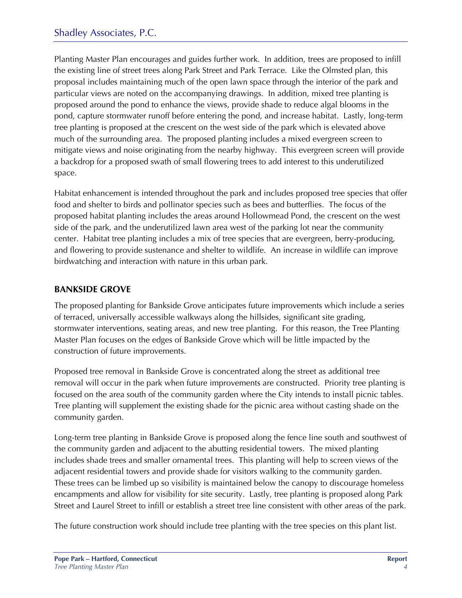Planting Master Plan encourages and guides further work. In addition, trees are proposed to infill the existing line of street trees along Park Street and Park Terrace. Like the Olmsted plan, this proposal includes maintaining much of the open lawn space through the interior of the park and particular views are noted on the accompanying drawings. In addition, mixed tree planting is proposed around the pond to enhance the views, provide shade to reduce algal blooms in the pond, capture stormwater runoff before entering the pond, and increase habitat. Lastly, long-term tree planting is proposed at the crescent on the west side of the park which is elevated above much of the surrounding area. The proposed planting includes a mixed evergreen screen to mitigate views and noise originating from the nearby highway. This evergreen screen will provide a backdrop for a proposed swath of small flowering trees to add interest to this underutilized space.

Habitat enhancement is intended throughout the park and includes proposed tree species that offer food and shelter to birds and pollinator species such as bees and butterflies. The focus of the proposed habitat planting includes the areas around Hollowmead Pond, the crescent on the west side of the park, and the underutilized lawn area west of the parking lot near the community center. Habitat tree planting includes a mix of tree species that are evergreen, berry-producing, and flowering to provide sustenance and shelter to wildlife. An increase in wildlife can improve birdwatching and interaction with nature in this urban park.

#### **BANKSIDE GROVE**

The proposed planting for Bankside Grove anticipates future improvements which include a series of terraced, universally accessible walkways along the hillsides, significant site grading, stormwater interventions, seating areas, and new tree planting. For this reason, the Tree Planting Master Plan focuses on the edges of Bankside Grove which will be little impacted by the construction of future improvements.

Proposed tree removal in Bankside Grove is concentrated along the street as additional tree removal will occur in the park when future improvements are constructed. Priority tree planting is focused on the area south of the community garden where the City intends to install picnic tables. Tree planting will supplement the existing shade for the picnic area without casting shade on the community garden.

Long-term tree planting in Bankside Grove is proposed along the fence line south and southwest of the community garden and adjacent to the abutting residential towers. The mixed planting includes shade trees and smaller ornamental trees. This planting will help to screen views of the adjacent residential towers and provide shade for visitors walking to the community garden. These trees can be limbed up so visibility is maintained below the canopy to discourage homeless encampments and allow for visibility for site security. Lastly, tree planting is proposed along Park Street and Laurel Street to infill or establish a street tree line consistent with other areas of the park.

The future construction work should include tree planting with the tree species on this plant list.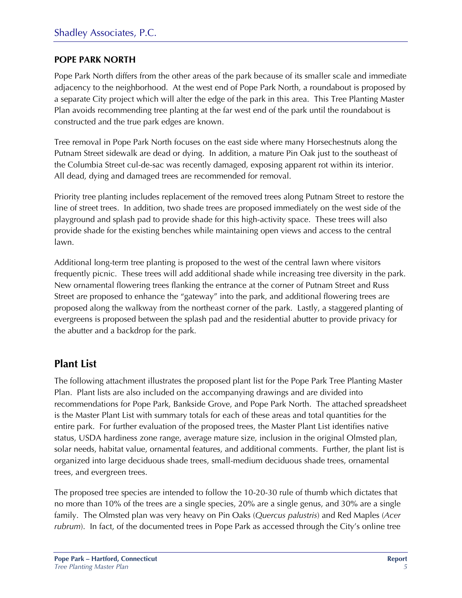#### **POPE PARK NORTH**

Pope Park North differs from the other areas of the park because of its smaller scale and immediate adjacency to the neighborhood. At the west end of Pope Park North, a roundabout is proposed by a separate City project which will alter the edge of the park in this area. This Tree Planting Master Plan avoids recommending tree planting at the far west end of the park until the roundabout is constructed and the true park edges are known.

Tree removal in Pope Park North focuses on the east side where many Horsechestnuts along the Putnam Street sidewalk are dead or dying. In addition, a mature Pin Oak just to the southeast of the Columbia Street cul-de-sac was recently damaged, exposing apparent rot within its interior. All dead, dying and damaged trees are recommended for removal.

Priority tree planting includes replacement of the removed trees along Putnam Street to restore the line of street trees. In addition, two shade trees are proposed immediately on the west side of the playground and splash pad to provide shade for this high-activity space. These trees will also provide shade for the existing benches while maintaining open views and access to the central lawn.

Additional long-term tree planting is proposed to the west of the central lawn where visitors frequently picnic. These trees will add additional shade while increasing tree diversity in the park. New ornamental flowering trees flanking the entrance at the corner of Putnam Street and Russ Street are proposed to enhance the "gateway" into the park, and additional flowering trees are proposed along the walkway from the northeast corner of the park. Lastly, a staggered planting of evergreens is proposed between the splash pad and the residential abutter to provide privacy for the abutter and a backdrop for the park.

### **Plant List**

The following attachment illustrates the proposed plant list for the Pope Park Tree Planting Master Plan. Plant lists are also included on the accompanying drawings and are divided into recommendations for Pope Park, Bankside Grove, and Pope Park North. The attached spreadsheet is the Master Plant List with summary totals for each of these areas and total quantities for the entire park. For further evaluation of the proposed trees, the Master Plant List identifies native status, USDA hardiness zone range, average mature size, inclusion in the original Olmsted plan, solar needs, habitat value, ornamental features, and additional comments. Further, the plant list is organized into large deciduous shade trees, small-medium deciduous shade trees, ornamental trees, and evergreen trees.

The proposed tree species are intended to follow the 10-20-30 rule of thumb which dictates that no more than 10% of the trees are a single species, 20% are a single genus, and 30% are a single family. The Olmsted plan was very heavy on Pin Oaks (*Quercus palustris*) and Red Maples (*Acer rubrum*). In fact, of the documented trees in Pope Park as accessed through the City's online tree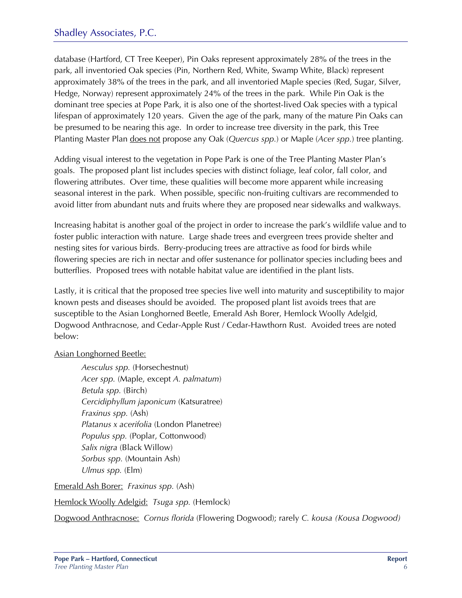database (Hartford, CT Tree Keeper), Pin Oaks represent approximately 28% of the trees in the park, all inventoried Oak species (Pin, Northern Red, White, Swamp White, Black) represent approximately 38% of the trees in the park, and all inventoried Maple species (Red, Sugar, Silver, Hedge, Norway) represent approximately 24% of the trees in the park. While Pin Oak is the dominant tree species at Pope Park, it is also one of the shortest-lived Oak species with a typical lifespan of approximately 120 years. Given the age of the park, many of the mature Pin Oaks can be presumed to be nearing this age. In order to increase tree diversity in the park, this Tree Planting Master Plan does not propose any Oak (*Quercus spp.*) or Maple (*Acer spp.*) tree planting.

Adding visual interest to the vegetation in Pope Park is one of the Tree Planting Master Plan's goals. The proposed plant list includes species with distinct foliage, leaf color, fall color, and flowering attributes. Over time, these qualities will become more apparent while increasing seasonal interest in the park. When possible, specific non-fruiting cultivars are recommended to avoid litter from abundant nuts and fruits where they are proposed near sidewalks and walkways.

Increasing habitat is another goal of the project in order to increase the park's wildlife value and to foster public interaction with nature. Large shade trees and evergreen trees provide shelter and nesting sites for various birds. Berry-producing trees are attractive as food for birds while flowering species are rich in nectar and offer sustenance for pollinator species including bees and butterflies. Proposed trees with notable habitat value are identified in the plant lists.

Lastly, it is critical that the proposed tree species live well into maturity and susceptibility to major known pests and diseases should be avoided. The proposed plant list avoids trees that are susceptible to the Asian Longhorned Beetle, Emerald Ash Borer, Hemlock Woolly Adelgid, Dogwood Anthracnose, and Cedar-Apple Rust / Cedar-Hawthorn Rust. Avoided trees are noted below:

#### Asian Longhorned Beetle:

*Aesculus spp.* (Horsechestnut) *Acer spp.* (Maple, except *A. palmatum*) *Betula spp.* (Birch) *Cercidiphyllum japonicum* (Katsuratree) *Fraxinus spp.* (Ash) *Platanus x acerifolia* (London Planetree) *Populus spp.* (Poplar, Cottonwood) *Salix nigra* (Black Willow) *Sorbus spp.* (Mountain Ash) *Ulmus spp.* (Elm)

Emerald Ash Borer: *Fraxinus spp.* (Ash)

Hemlock Woolly Adelgid: *Tsuga spp.* (Hemlock)

Dogwood Anthracnose: *Cornus florida* (Flowering Dogwood); rarely *C. kousa (Kousa Dogwood)*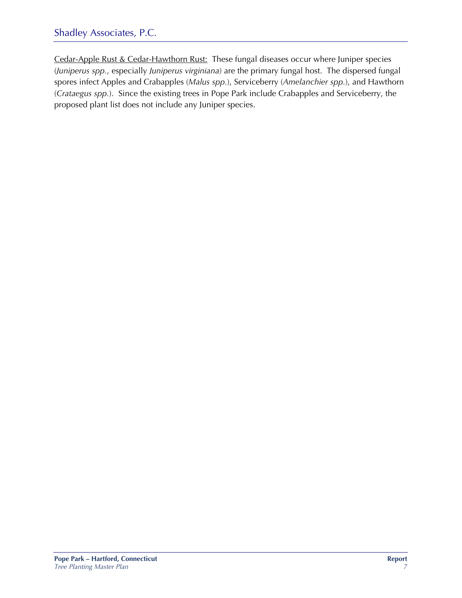### Shadley Associates, P.C.

Cedar-Apple Rust & Cedar-Hawthorn Rust: These fungal diseases occur where Juniper species (*Juniperus spp.*, especially *Juniperus virginiana*) are the primary fungal host. The dispersed fungal spores infect Apples and Crabapples (*Malus spp.*), Serviceberry (*Amelanchier spp.*), and Hawthorn (*Crataegus spp.*). Since the existing trees in Pope Park include Crabapples and Serviceberry, the proposed plant list does not include any Juniper species.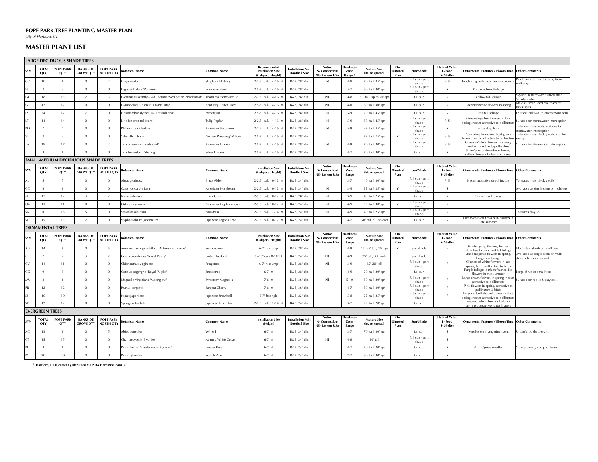#### **POPE PARK TREE PLANTING MASTER PLAN**

#### **MASTER PLANT LIST**

|            | <b>LARGE DECIDUOUS SHADE TREES</b> |                                    |                                     |                                      |                                                                                     |                       |                                                               |                                           |                                                                 |                                   |                                       |                              |                          |                                             |                                                                                                                         |                                                                |
|------------|------------------------------------|------------------------------------|-------------------------------------|--------------------------------------|-------------------------------------------------------------------------------------|-----------------------|---------------------------------------------------------------|-------------------------------------------|-----------------------------------------------------------------|-----------------------------------|---------------------------------------|------------------------------|--------------------------|---------------------------------------------|-------------------------------------------------------------------------------------------------------------------------|----------------------------------------------------------------|
| SYM        | <b>TOTAL</b><br>QTY                | <b>POPE PARK</b><br>QTY            | <b>BANKSIDE</b><br><b>GROVE QTY</b> | <b>POPE PARK</b><br><b>NORTH QTY</b> | otanical Name                                                                       | Common Name           | Recommended<br><b>Installation Size</b><br>(Caliper / Height) | nstallation Min.<br><b>Rootball Size</b>  | <b>Native</b><br>N- Connecticut<br>NE- Eastern USA              | Hardines<br>Zone<br>Range         | <b>Mature Size</b><br>(ht. or spread) | On<br>Olmsted<br>Plan        | Sun/Shade                | Habitat Value<br>F-Food<br>S-Shelter        | <b>Ornamental Features / Bloom Time</b>                                                                                 | <b>Other Comments</b>                                          |
| CO         | 10                                 |                                    | $\mathbf{0}$                        | $\overline{2}$                       | Carya ovata                                                                         | Shagbark Hickory      | 2-2.5" cal / 14-16' h                                         | B&B, 28 <sup>®</sup> dia.                 | $\mathbb{N}$                                                    | $4 - 9$                           | 70' tall, 35' spr                     |                              | full sun - part<br>shade | F, S                                        | Exfoliating bark, nuts are food source                                                                                  | roduces nuts, locate away from<br>valkways                     |
| <b>FS</b>  | $\overline{\mathbf{3}}$            | $\mathcal{R}$                      | $\mathbf{0}$                        | $\overline{0}$                       | agus sylvatica 'Purpurea'                                                           | European Beech        | 2.5-3" cal / 14-16' h                                         | B&B, 28 <sup>®</sup> dia.                 |                                                                 | $5 - 7$                           | 60' tall, 40' spr                     |                              | full sun - part<br>shade | $\mathcal{S}$                               | Purple colored foliage                                                                                                  |                                                                |
| GT         | 18                                 | 13                                 | $\overline{2}$                      | $\mathbf{3}$                         | Gleditsia triacanthos var. inermis 'Skyline' or 'Shademaster' Thornless Honeylocust |                       | 2-2.5" cal / 14-16' h                                         | B&B, 28 <sup>®</sup> dia.                 | NE                                                              | $4 - 8$                           | 50' tall, up to 50' spr               |                              | full sun                 | $\mathcal{S}$                               | Yellow fall foliage                                                                                                     | Skyline' is narrower cultivar than<br>Shademaster'             |
| GD         | 12                                 | 12                                 | $\mathbf{0}$                        | $\Omega$                             | Gymnocladus dioicus 'Prairie Titan'                                                 | Kentucky Coffee Tree  | 2.5-3" cal / 14-16' h                                         | B&B, 28 <sup>®</sup> dia.                 | NE                                                              | $4 - 8$                           | 60' tall, 30' spr                     |                              | full sun                 | $\mathcal{S}$                               | Greenish/white flowers in spring                                                                                        | Viale cultivar, seedless, tolerates<br>oist soils              |
| $\sim$     | 24                                 | 17                                 | $\overline{7}$                      | $\overline{0}$                       | iquidambar styraciflua 'Rotundiloba'                                                | Sweetgum              | 2.5-3" cal / 14-16' h                                         | B&B, 28" dia.                             | N                                                               | $5-9$                             | 70' tall, 45' spr                     |                              | full sun                 | <sub>S</sub>                                | Red fall foliage                                                                                                        | ruitless cultivar, tolerates moist soils                       |
|            | 14                                 | 14                                 | $\,0\,$                             | $\overline{0}$                       | Liriodendron tulipifera                                                             | <b>Tulip Poplar</b>   | 2-2.5" cal / 14-16' h                                         | B&B, 28 <sup>®</sup> dia.                 | $\mathsf N$                                                     | $5-9$                             | 80' tall, 45' spr                     |                              | full sun - part<br>shade | F, S                                        | Greenish/yellow flowers in late<br>spring, nectar attractive to pollinators                                             | uitable for stormwater interception                            |
| PO         | $\overline{7}$                     | $\overline{7}$                     | $\mathbf{0}$                        | $\overline{0}$                       | Platanus occidentalis                                                               | American Sycamore     | 2-2.5" cal / 14-16' h                                         | B&B, 28 <sup>®</sup> dia.                 | $\mathbb{N}$                                                    | $5-9$                             | 85' tall, 85' spr                     |                              | full sun - part<br>shade | $\mathcal{S}$                               | <b>Exfoliating bark</b>                                                                                                 | olerates moist soils, suitable for<br>tormwater interception   |
| ST         | 3                                  | $\mathbf{3}$                       | $\mathbf{0}$                        | $\overline{0}$                       | Salix alba 'Tristis'                                                                | Golden Weeping Willow | 2.5-3" cal / 14-16' h                                         | B&B. 28 <sup>®</sup> dia.                 |                                                                 |                                   | 75' tall, 75' spr                     |                              | full sun - part<br>shade | F.S                                         | Cascading branches, light green<br>eaves, nectar attractive to pollinators                                              | olerates moist & clay soils, can be<br>essy                    |
| TА         | 19                                 | 17                                 | $\Omega$                            | $\overline{2}$                       | ilia americana 'Redmond'                                                            | American Linden       | 2.5-3" cal / 14-16' h                                         | B&B, 28 <sup>®</sup> dia.                 | $\mathbb{N}$                                                    | $4 - 9$                           | 70' tall, 30' spr                     |                              | full sun - part<br>shade | F, S                                        | Greenish/white flowers in spring,<br>nectar attractive to pollinators                                                   | uitable for stormwater interception                            |
| <b>TT</b>  | 8                                  |                                    | $\Omega$                            | $\Omega$                             | Tilia tomentosa 'Sterling'                                                          | Silver Linden         | 2.5-3" cal / 14-16' h                                         | B&B, 28 <sup>®</sup> dia.                 |                                                                 | $4 - 7$                           | 70' tall, 40' spr                     |                              | full sun                 | S.                                          | Silver/gray underside on leaves,<br>vellow flower clusters in summer                                                    |                                                                |
|            |                                    | SMALL-MEDIUM DECIDUOUS SHADE TREES |                                     |                                      |                                                                                     |                       |                                                               |                                           |                                                                 |                                   |                                       |                              |                          |                                             |                                                                                                                         |                                                                |
| <b>SYM</b> | <b>TOTAL</b><br>QTY                | <b>POPE PARK</b><br>QTY            | <b>BANKSIDE</b><br><b>GROVE QTY</b> | <b>POPE PARK</b><br><b>NORTH QTY</b> | <b>otanical Name</b>                                                                | Common Name           | <b>Installation Size</b><br>(Caliper / Height)                | Installation Min.<br><b>Rootball Size</b> | Native<br>N- Connecticut<br><b>NE-Eastern USA</b>               | <b>Hardiness</b><br>Zone<br>Range | <b>Mature Size</b><br>(ht. or spread) | On<br>Olmsted<br>Plan        | Sun/Shade                | <b>Habitat Value</b><br>F-Food<br>S-Shelter | <b>Ornamental Features / Bloom Time</b>                                                                                 | <b>Other Comments</b>                                          |
| AL         | 5                                  | $\overline{5}$                     | $\mathbf{0}$                        | $\overline{0}$                       | Alnus glutinosa                                                                     | <b>Black Alder</b>    | 2-2.5" cal / 10-12'                                           | B&B, 24 <sup>*</sup> dia.                 |                                                                 | $3 - 7$                           | 40' tall, 30' spr                     |                              | full sun - part<br>shade | F, S                                        | Nectar attractive to pollinators                                                                                        | olerates moist & clay soils                                    |
| CC         | $\mathbf{a}$                       | $\mathcal{R}$                      | $\mathbf{0}$                        | $\overline{0}$                       | Carpinus caroliniana                                                                | American Hornbeam     | 2-2.5" cal / 10-12' h                                         | B&B, 24 <sup>*</sup> dia.                 | $\mathbb{N}$                                                    | $3-9$                             | 25' tall, 25' spr                     |                              | full sun - part<br>shade | $\mathcal{S}$                               |                                                                                                                         | Available as single-stem or multi-sten                         |
| NS         | 17                                 | 12                                 | $\overline{\mathbf{3}}$             | <sup>2</sup>                         | Nyssa sylvatica                                                                     | <b>Black Gum</b>      | 2-2.5" cal / 10-12' h                                         | B&B, 28" dia.                             | N                                                               | $3-9$                             | 40' tall, 25' spr                     |                              | full sun                 | $\leq$                                      | Crimson fall foliage                                                                                                    |                                                                |
| OV         | 11                                 | 11                                 | $\,0\,$                             | $\overline{0}$                       | Ostrya virginiana                                                                   | American Hophornbeam  | 2-2.5" cal / 10-12' ht                                        | B&B, 24 <sup>®</sup> dia.                 | N                                                               | $4-9$                             | 35' tall, 30' spr                     |                              | full sun - part<br>shade | $\leq$                                      |                                                                                                                         |                                                                |
|            | 20                                 | 15                                 | 5                                   | $\overline{0}$                       | Sassafras albidum                                                                   | Sassafrass            | 2-2.5" cal / 12-14' ht                                        | B&B, 24 <sup>*</sup> dia.                 | $\mathbb{N}$                                                    | $4 - 9$                           | 40' tall, 25' spr                     |                              | full sun - part<br>shade | $\mathcal{S}$                               |                                                                                                                         | Folerates clay soil                                            |
|            | 15                                 | 13                                 | $\overline{2}$                      | $\overline{0}$                       | Styphnolobium japonicum                                                             | Japanese Pagoda Tree  | 2-2.5" cal / 10-12' h                                         | B&B. 24" dia.                             |                                                                 | $4 - 7$                           | 50' tall, 50' spread                  |                              | full sun                 | $\mathcal{S}$                               | Cream-colored flowers in clusters in<br>late summer                                                                     |                                                                |
|            |                                    | <b>ORNAMENTAL TREES</b>            |                                     |                                      |                                                                                     |                       |                                                               |                                           |                                                                 |                                   |                                       |                              |                          |                                             |                                                                                                                         |                                                                |
| <b>SYM</b> | <b>TOTAL</b><br>QTY                | <b>POPE PARK</b><br>QTY            | <b>BANKSIDE</b><br><b>GROVE QTY</b> | <b>POPE PARK</b><br><b>NORTH QTY</b> | otanical Name                                                                       | Common Name           | <b>Installation Size</b><br>(Caliper / Height)                | nstallation Min.<br><b>Rootball Size</b>  | <b>Native</b><br><b>N- Connecticut</b><br>NE- Eastern USA       | Hardines<br>Zone<br>Range         | <b>Mature Size</b><br>(ht. or spread) | On<br>Olmsted<br>Plan        | Sun/Shade                | <b>Habitat Value</b><br>F-Food<br>S-Shelter | <b>Ornamental Features / Bloom Time</b>                                                                                 | <b>Other Comments</b>                                          |
| AG         | 14                                 | $\mathbf{q}$                       | $\Omega$                            | -5                                   | Amelanchier x grandiflora 'Autumn Brilliance'                                       | Serviceberry          | 6-7' ht clump                                                 | B&B, 28 <sup>®</sup> dia.                 |                                                                 | $4 - 9$                           | 15'-25' tall, 15' spr                 |                              | part shade               |                                             | White spring flowers, berries<br>attractive to birds, red fall foliage                                                  | Aulti-stem shrub or small tree                                 |
| CE.        | $\overline{7}$                     | $\mathcal{L}$                      | $\overline{3}$                      | <sup>2</sup>                         | Cercis canadensis 'Forest Pansy'                                                    | Eastern Redbud        | 2-2.5" cal / 8-10' ht                                         | B&B, 24 <sup>*</sup> dia.                 | <b>NE</b>                                                       | $4-9$                             | 25' tall, 30' wide                    |                              | part shade               | -F                                          | Small magenta flowers in spring,<br>burgundy foliage                                                                    | Available as single-stem or multi-<br>tem, tolerates clav soil |
| CV         | 11                                 | 11                                 | $\mathbf{0}$                        | $\overline{0}$                       | Chionanthus virginicus                                                              | Fringetree            | 6-7' ht clump                                                 | B&B, 28 <sup>®</sup> dia.                 | NE                                                              | $3-9$                             | 12'-20' tall                          |                              | full sun - part<br>shade | E                                           | Clusters of white flowers in late<br>spring, berries attractive to birds                                                |                                                                |
| CG         | $\mathbf{q}$                       | $\mathbf{q}$                       | $\mathbf{0}$                        | $\overline{0}$                       | Cotinus coggygria 'Royal Purple'                                                    | Smoketree             | $6-7'$ ht                                                     | B&B, 28 <sup>®</sup> dia.                 |                                                                 | $4 - 9$                           | 20' tall, 20' spr                     |                              | full sun                 |                                             | Purple foliage, pinkish feather-like<br>flowers in mid-summer                                                           | arge shrub or small tree                                       |
| MV         | 8                                  | 8                                  | $\mathbf{0}$                        | $\overline{0}$                       | Magnolia virginiana 'Moonglow'                                                      | Sweetbay Magnolia     | 7-8' ht                                                       | B&B, 36 <sup>®</sup> dia.                 | NE                                                              | $5 - 10$                          | 30' tall, 20' spr                     |                              | full sun - part<br>shade | -F                                          | Large cream flowers in spring, nectar<br>attractive to pollinators                                                      | suitable for moist & clay soils                                |
| PR         | 12                                 | 12                                 | $\bf{0}$                            | $\overline{0}$                       | Prunus sargentii                                                                    | Sargent Cherry        | 7-8' ht                                                       | B&B, 36 <sup>®</sup> dia.                 |                                                                 | $4 - 7$                           | 30' tall, 30' spr                     |                              | full sun - part<br>shade | F.                                          | Pink flowers in spring, attractive to<br>pollinators & birds                                                            |                                                                |
|            | 10                                 | 10                                 | $\mathbf{0}$                        | $\overline{0}$                       | Styrax japonicus                                                                    | Japanese Snowbell     | 6-7' ht single                                                | B&B, 22" dia.                             |                                                                 | $5-8$                             | 25' tall, 25' spr                     |                              | full sun - part<br>shade |                                             | Fragrant, bell-shaped flowers in late<br>spring, nectar attractive to pollinators<br>Fragrant, white flower clusters in |                                                                |
| <b>SR</b>  | 12                                 | 12                                 | $\Omega$                            | $\overline{0}$                       | Syringa reticulata                                                                  | lapanese Tree Lilac   | 2-2.5" cal / 12-14' h                                         | B&B. 24 <sup>*</sup> dia.                 |                                                                 | $3 - 7$                           | 25' tall, 20' spr                     |                              | full sun                 | E                                           | summer, attractive to pollinators                                                                                       |                                                                |
|            | <b>EVERGREEN TREES</b>             |                                    |                                     |                                      |                                                                                     |                       |                                                               |                                           |                                                                 |                                   |                                       |                              |                          |                                             |                                                                                                                         |                                                                |
| <b>SYM</b> | <b>TOTA</b><br>QTY                 | <b>POPE PARK</b><br>QTY            | <b>BANKSIDE</b><br><b>GROVE QTY</b> | <b>POPE PARK</b><br><b>NORTH QTY</b> | <b>otanical Name</b>                                                                | <b>Common Name</b>    | <b>Installation Size</b><br>(Height)                          | nstallation Min<br><b>Rootball Size</b>   | <b>Native</b><br><b>N- Connecticut</b><br><b>NE-Eastern USA</b> | Hardines<br>Zone<br>Range         | <b>Mature Size</b><br>(ht. or spread) | On<br><b>Olmsted</b><br>Plan | Sun/Shade                | Habitat Value<br>F-Food<br>S-Shelter        | <b>Ornamental Features / Bloom Time</b>                                                                                 | <b>Other Comments</b>                                          |
| AC         | 13                                 | $\mathbf{g}$                       | $\overline{0}$                      | $-5$                                 | Abies concolor                                                                      | White Fir             | 6-7' ht                                                       | B&B, 24 <sup>*</sup> dia.                 |                                                                 | $3 - 7$                           | 70' tall, 30' spr                     |                              | full sun                 | $\mathcal{S}$                               | Needles emit tangerine scent                                                                                            | rban/drought tolerant                                          |
| CT         | 15                                 | 15                                 | $\mathbf{0}$                        | $\overline{0}$                       | Chamaecyparis thyoides                                                              | Atlantic White Cedar  | 6-7' ht                                                       | B&B, 24" dia.                             | <b>NE</b>                                                       | $4 - 8$                           | 30' tall                              |                              | full sun - part<br>shade | -S.                                         |                                                                                                                         |                                                                |
|            | 8                                  | -8                                 | $\mathbf{0}$                        | $\overline{0}$                       | <sup>2</sup> inus flexilis 'Vanderwolf's Pyramid'                                   | <b>Limber Pine</b>    | $6-7'$ ht                                                     | B&B, 24 <sup>®</sup> dia.                 |                                                                 | $4 - 7$                           | 30' tall, 20' spr                     |                              | full sun                 | $\mathcal{S}$                               | Bluish/green needles                                                                                                    | Slow growing, compact form                                     |
| PS.        | 20                                 | 20                                 | $\Omega$                            | $\overline{0}$                       | Pinus sylvestris                                                                    | Scotch Pine           | 6-7' ht                                                       | B&B, 24 <sup>*</sup> dia.                 |                                                                 | $2 - 7$                           | 60' tall, 40' spr                     |                              | full sun                 | $\mathcal{S}$                               |                                                                                                                         |                                                                |

**\* Hartford, CT is currently identified as USDA Hardiness Zone 6.**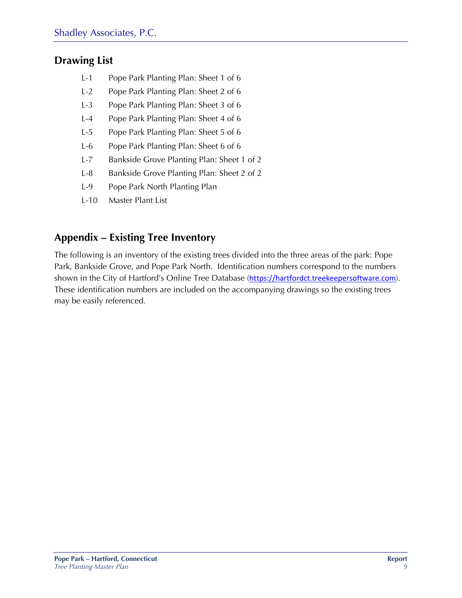### **Drawing List**

- L-1 Pope Park Planting Plan: Sheet 1 of 6
- L-2 Pope Park Planting Plan: Sheet 2 of 6
- L-3 Pope Park Planting Plan: Sheet 3 of 6
- L-4 Pope Park Planting Plan: Sheet 4 of 6
- L-5 Pope Park Planting Plan: Sheet 5 of 6
- L-6 Pope Park Planting Plan: Sheet 6 of 6
- L-7 Bankside Grove Planting Plan: Sheet 1 of 2
- L-8 Bankside Grove Planting Plan: Sheet 2 of 2
- L-9 Pope Park North Planting Plan
- L-10 Master Plant List

### **Appendix – Existing Tree Inventory**

The following is an inventory of the existing trees divided into the three areas of the park: Pope Park, Bankside Grove, and Pope Park North. Identification numbers correspond to the numbers shown in the City of Hartford's Online Tree Database (https://hartfordct.treekeepersoftware.com). These identification numbers are included on the accompanying drawings so the existing trees may be easily referenced.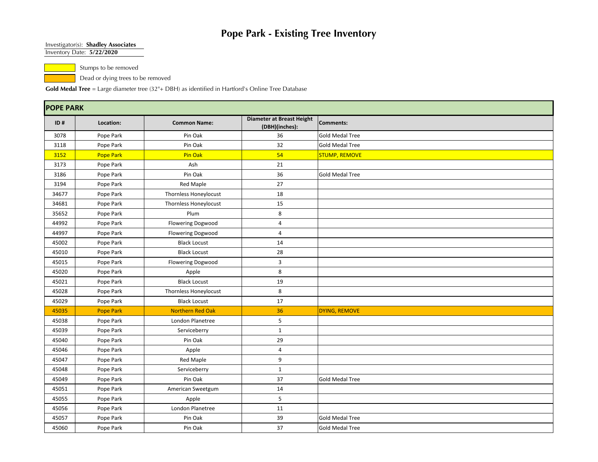#### Investigator(s): **Shadley Associates**

Inventory Date: **5/22/2020**

Stumps to be removed

Dead or dying trees to be removed

|       | <b>POPE PARK</b> |                              |                                             |                        |  |  |  |  |  |
|-------|------------------|------------------------------|---------------------------------------------|------------------------|--|--|--|--|--|
| ID#   | Location:        | <b>Common Name:</b>          | Diameter at Breast Height<br>(DBH)(inches): | <b>Comments:</b>       |  |  |  |  |  |
| 3078  | Pope Park        | Pin Oak                      | 36                                          | <b>Gold Medal Tree</b> |  |  |  |  |  |
| 3118  | Pope Park        | Pin Oak                      | 32                                          | <b>Gold Medal Tree</b> |  |  |  |  |  |
| 3152  | <b>Pope Park</b> | Pin Oak                      | 54                                          | <b>STUMP, REMOVE</b>   |  |  |  |  |  |
| 3173  | Pope Park        | Ash                          | 21                                          |                        |  |  |  |  |  |
| 3186  | Pope Park        | Pin Oak                      | 36                                          | <b>Gold Medal Tree</b> |  |  |  |  |  |
| 3194  | Pope Park        | <b>Red Maple</b>             | 27                                          |                        |  |  |  |  |  |
| 34677 | Pope Park        | Thornless Honeylocust        | 18                                          |                        |  |  |  |  |  |
| 34681 | Pope Park        | <b>Thornless Honeylocust</b> | 15                                          |                        |  |  |  |  |  |
| 35652 | Pope Park        | Plum                         | 8                                           |                        |  |  |  |  |  |
| 44992 | Pope Park        | <b>Flowering Dogwood</b>     | 4                                           |                        |  |  |  |  |  |
| 44997 | Pope Park        | Flowering Dogwood            | $\overline{4}$                              |                        |  |  |  |  |  |
| 45002 | Pope Park        | <b>Black Locust</b>          | 14                                          |                        |  |  |  |  |  |
| 45010 | Pope Park        | <b>Black Locust</b>          | 28                                          |                        |  |  |  |  |  |
| 45015 | Pope Park        | <b>Flowering Dogwood</b>     | 3                                           |                        |  |  |  |  |  |
| 45020 | Pope Park        | Apple                        | 8                                           |                        |  |  |  |  |  |
| 45021 | Pope Park        | <b>Black Locust</b>          | 19                                          |                        |  |  |  |  |  |
| 45028 | Pope Park        | <b>Thornless Honeylocust</b> | 8                                           |                        |  |  |  |  |  |
| 45029 | Pope Park        | <b>Black Locust</b>          | 17                                          |                        |  |  |  |  |  |
| 45035 | <b>Pope Park</b> | <b>Northern Red Oak</b>      | 36                                          | <b>DYING, REMOVE</b>   |  |  |  |  |  |
| 45038 | Pope Park        | London Planetree             | 5                                           |                        |  |  |  |  |  |
| 45039 | Pope Park        | Serviceberry                 | $\mathbf{1}$                                |                        |  |  |  |  |  |
| 45040 | Pope Park        | Pin Oak                      | 29                                          |                        |  |  |  |  |  |
| 45046 | Pope Park        | Apple                        | 4                                           |                        |  |  |  |  |  |
| 45047 | Pope Park        | <b>Red Maple</b>             | 9                                           |                        |  |  |  |  |  |
| 45048 | Pope Park        | Serviceberry                 | $\mathbf{1}$                                |                        |  |  |  |  |  |
| 45049 | Pope Park        | Pin Oak                      | 37                                          | <b>Gold Medal Tree</b> |  |  |  |  |  |
| 45051 | Pope Park        | American Sweetgum            | 14                                          |                        |  |  |  |  |  |
| 45055 | Pope Park        | Apple                        | 5                                           |                        |  |  |  |  |  |
| 45056 | Pope Park        | London Planetree             | 11                                          |                        |  |  |  |  |  |
| 45057 | Pope Park        | Pin Oak                      | 39                                          | <b>Gold Medal Tree</b> |  |  |  |  |  |
| 45060 | Pope Park        | Pin Oak                      | 37                                          | Gold Medal Tree        |  |  |  |  |  |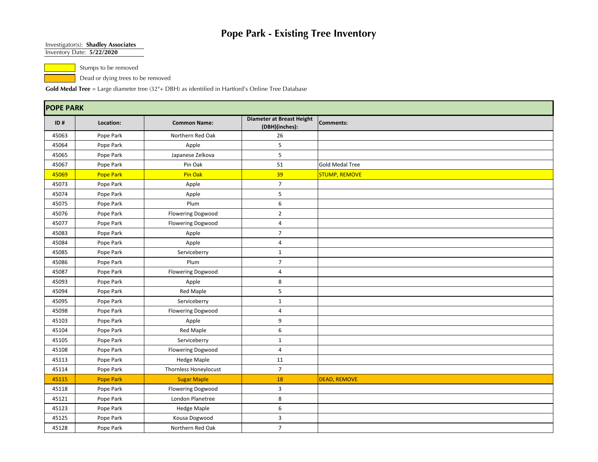#### Investigator(s): **Shadley Associates**

Inventory Date: **5/22/2020**

Stumps to be removed

Dead or dying trees to be removed

|       | <b>POPE PARK</b> |                          |                                                    |                        |  |  |  |  |
|-------|------------------|--------------------------|----------------------------------------------------|------------------------|--|--|--|--|
| ID#   | Location:        | <b>Common Name:</b>      | <b>Diameter at Breast Height</b><br>(DBH)(inches): | Comments:              |  |  |  |  |
| 45063 | Pope Park        | Northern Red Oak         | 26                                                 |                        |  |  |  |  |
| 45064 | Pope Park        | Apple                    | 5                                                  |                        |  |  |  |  |
| 45065 | Pope Park        | Japanese Zelkova         | 5                                                  |                        |  |  |  |  |
| 45067 | Pope Park        | Pin Oak                  | 51                                                 | <b>Gold Medal Tree</b> |  |  |  |  |
| 45069 | Pope Park        | Pin Oak                  | 39                                                 | <b>STUMP, REMOVE</b>   |  |  |  |  |
| 45073 | Pope Park        | Apple                    | $\overline{7}$                                     |                        |  |  |  |  |
| 45074 | Pope Park        | Apple                    | 5                                                  |                        |  |  |  |  |
| 45075 | Pope Park        | Plum                     | 6                                                  |                        |  |  |  |  |
| 45076 | Pope Park        | <b>Flowering Dogwood</b> | $\overline{2}$                                     |                        |  |  |  |  |
| 45077 | Pope Park        | <b>Flowering Dogwood</b> | $\overline{4}$                                     |                        |  |  |  |  |
| 45083 | Pope Park        | Apple                    | $\overline{7}$                                     |                        |  |  |  |  |
| 45084 | Pope Park        | Apple                    | $\overline{4}$                                     |                        |  |  |  |  |
| 45085 | Pope Park        | Serviceberry             | $\mathbf{1}$                                       |                        |  |  |  |  |
| 45086 | Pope Park        | Plum                     | $\overline{7}$                                     |                        |  |  |  |  |
| 45087 | Pope Park        | Flowering Dogwood        | $\overline{4}$                                     |                        |  |  |  |  |
| 45093 | Pope Park        | Apple                    | 8                                                  |                        |  |  |  |  |
| 45094 | Pope Park        | <b>Red Maple</b>         | 5                                                  |                        |  |  |  |  |
| 45095 | Pope Park        | Serviceberry             | $\mathbf{1}$                                       |                        |  |  |  |  |
| 45098 | Pope Park        | <b>Flowering Dogwood</b> | $\overline{4}$                                     |                        |  |  |  |  |
| 45103 | Pope Park        | Apple                    | 9                                                  |                        |  |  |  |  |
| 45104 | Pope Park        | Red Maple                | 6                                                  |                        |  |  |  |  |
| 45105 | Pope Park        | Serviceberry             | $\mathbf{1}$                                       |                        |  |  |  |  |
| 45108 | Pope Park        | Flowering Dogwood        | $\overline{4}$                                     |                        |  |  |  |  |
| 45113 | Pope Park        | <b>Hedge Maple</b>       | 11                                                 |                        |  |  |  |  |
| 45114 | Pope Park        | Thornless Honeylocust    | $\overline{7}$                                     |                        |  |  |  |  |
| 45115 | <b>Pope Park</b> | <b>Sugar Maple</b>       | 18                                                 | <b>DEAD, REMOVE</b>    |  |  |  |  |
| 45118 | Pope Park        | <b>Flowering Dogwood</b> | $\overline{3}$                                     |                        |  |  |  |  |
| 45121 | Pope Park        | London Planetree         | 8                                                  |                        |  |  |  |  |
| 45123 | Pope Park        | <b>Hedge Maple</b>       | 6                                                  |                        |  |  |  |  |
| 45125 | Pope Park        | Kousa Dogwood            | $\overline{3}$                                     |                        |  |  |  |  |
| 45128 | Pope Park        | Northern Red Oak         | $\overline{7}$                                     |                        |  |  |  |  |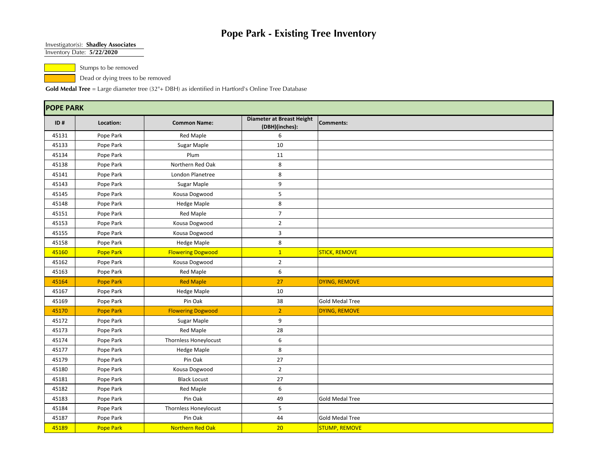#### Investigator(s): **Shadley Associates**

Inventory Date: **5/22/2020**

Stumps to be removed

Dead or dying trees to be removed

|       | <b>POPE PARK</b> |                          |                                                    |                        |  |  |  |  |  |
|-------|------------------|--------------------------|----------------------------------------------------|------------------------|--|--|--|--|--|
| ID#   | Location:        | <b>Common Name:</b>      | <b>Diameter at Breast Height</b><br>(DBH)(inches): | <b>Comments:</b>       |  |  |  |  |  |
| 45131 | Pope Park        | <b>Red Maple</b>         | 6                                                  |                        |  |  |  |  |  |
| 45133 | Pope Park        | Sugar Maple              | $10\,$                                             |                        |  |  |  |  |  |
| 45134 | Pope Park        | Plum                     | 11                                                 |                        |  |  |  |  |  |
| 45138 | Pope Park        | Northern Red Oak         | 8                                                  |                        |  |  |  |  |  |
| 45141 | Pope Park        | London Planetree         | 8                                                  |                        |  |  |  |  |  |
| 45143 | Pope Park        | Sugar Maple              | 9                                                  |                        |  |  |  |  |  |
| 45145 | Pope Park        | Kousa Dogwood            | 5                                                  |                        |  |  |  |  |  |
| 45148 | Pope Park        | <b>Hedge Maple</b>       | 8                                                  |                        |  |  |  |  |  |
| 45151 | Pope Park        | Red Maple                | $\overline{7}$                                     |                        |  |  |  |  |  |
| 45153 | Pope Park        | Kousa Dogwood            | $\overline{2}$                                     |                        |  |  |  |  |  |
| 45155 | Pope Park        | Kousa Dogwood            | 3                                                  |                        |  |  |  |  |  |
| 45158 | Pope Park        | <b>Hedge Maple</b>       | 8                                                  |                        |  |  |  |  |  |
| 45160 | <b>Pope Park</b> | <b>Flowering Dogwood</b> | $\mathbf{1}$                                       | <b>STICK, REMOVE</b>   |  |  |  |  |  |
| 45162 | Pope Park        | Kousa Dogwood            | $\overline{2}$                                     |                        |  |  |  |  |  |
| 45163 | Pope Park        | Red Maple                | 6                                                  |                        |  |  |  |  |  |
| 45164 | <b>Pope Park</b> | <b>Red Maple</b>         | 27                                                 | DYING, REMOVE          |  |  |  |  |  |
| 45167 | Pope Park        | <b>Hedge Maple</b>       | 10                                                 |                        |  |  |  |  |  |
| 45169 | Pope Park        | Pin Oak                  | 38                                                 | <b>Gold Medal Tree</b> |  |  |  |  |  |
| 45170 | <b>Pope Park</b> | <b>Flowering Dogwood</b> | $\overline{2}$                                     | DYING, REMOVE          |  |  |  |  |  |
| 45172 | Pope Park        | Sugar Maple              | 9                                                  |                        |  |  |  |  |  |
| 45173 | Pope Park        | Red Maple                | 28                                                 |                        |  |  |  |  |  |
| 45174 | Pope Park        | Thornless Honeylocust    | 6                                                  |                        |  |  |  |  |  |
| 45177 | Pope Park        | <b>Hedge Maple</b>       | 8                                                  |                        |  |  |  |  |  |
| 45179 | Pope Park        | Pin Oak                  | $27\,$                                             |                        |  |  |  |  |  |
| 45180 | Pope Park        | Kousa Dogwood            | $\overline{2}$                                     |                        |  |  |  |  |  |
| 45181 | Pope Park        | <b>Black Locust</b>      | 27                                                 |                        |  |  |  |  |  |
| 45182 | Pope Park        | <b>Red Maple</b>         | 6                                                  |                        |  |  |  |  |  |
| 45183 | Pope Park        | Pin Oak                  | 49                                                 | <b>Gold Medal Tree</b> |  |  |  |  |  |
| 45184 | Pope Park        | Thornless Honeylocust    | 5                                                  |                        |  |  |  |  |  |
| 45187 | Pope Park        | Pin Oak                  | 44                                                 | <b>Gold Medal Tree</b> |  |  |  |  |  |
| 45189 | <b>Pope Park</b> | <b>Northern Red Oak</b>  | 20                                                 | <b>STUMP, REMOVE</b>   |  |  |  |  |  |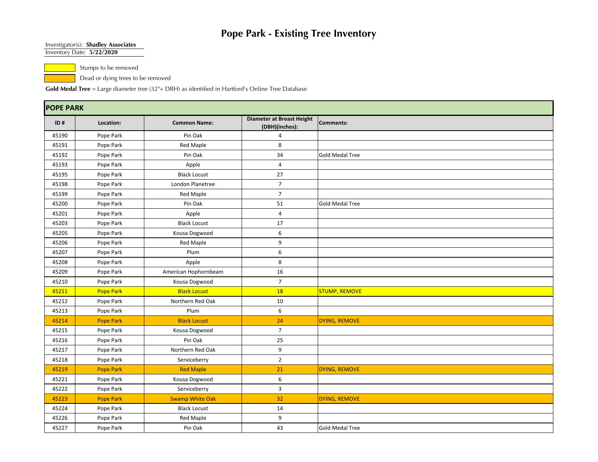#### Investigator(s): **Shadley Associates**

Inventory Date: **5/22/2020**

Stumps to be removed

Dead or dying trees to be removed

|       | <b>POPE PARK</b> |                        |                                             |                        |  |  |  |  |  |
|-------|------------------|------------------------|---------------------------------------------|------------------------|--|--|--|--|--|
| ID#   | Location:        | <b>Common Name:</b>    | Diameter at Breast Height<br>(DBH)(inches): | <b>Comments:</b>       |  |  |  |  |  |
| 45190 | Pope Park        | Pin Oak                | $\overline{4}$                              |                        |  |  |  |  |  |
| 45191 | Pope Park        | <b>Red Maple</b>       | 8                                           |                        |  |  |  |  |  |
| 45192 | Pope Park        | Pin Oak                | 34                                          | <b>Gold Medal Tree</b> |  |  |  |  |  |
| 45193 | Pope Park        | Apple                  | 4                                           |                        |  |  |  |  |  |
| 45195 | Pope Park        | <b>Black Locust</b>    | 27                                          |                        |  |  |  |  |  |
| 45198 | Pope Park        | London Planetree       | $\overline{7}$                              |                        |  |  |  |  |  |
| 45199 | Pope Park        | <b>Red Maple</b>       | $\overline{7}$                              |                        |  |  |  |  |  |
| 45200 | Pope Park        | Pin Oak                | 51                                          | <b>Gold Medal Tree</b> |  |  |  |  |  |
| 45201 | Pope Park        | Apple                  | $\overline{4}$                              |                        |  |  |  |  |  |
| 45203 | Pope Park        | <b>Black Locust</b>    | 17                                          |                        |  |  |  |  |  |
| 45205 | Pope Park        | Kousa Dogwood          | 6                                           |                        |  |  |  |  |  |
| 45206 | Pope Park        | <b>Red Maple</b>       | 9                                           |                        |  |  |  |  |  |
| 45207 | Pope Park        | Plum                   | 6                                           |                        |  |  |  |  |  |
| 45208 | Pope Park        | Apple                  | 8                                           |                        |  |  |  |  |  |
| 45209 | Pope Park        | American Hophornbeam   | 16                                          |                        |  |  |  |  |  |
| 45210 | Pope Park        | Kousa Dogwood          | $\overline{7}$                              |                        |  |  |  |  |  |
| 45211 | <b>Pope Park</b> | <b>Black Locust</b>    | 18                                          | <b>STUMP, REMOVE</b>   |  |  |  |  |  |
| 45212 | Pope Park        | Northern Red Oak       | 10                                          |                        |  |  |  |  |  |
| 45213 | Pope Park        | Plum                   | 6                                           |                        |  |  |  |  |  |
| 45214 | <b>Pope Park</b> | <b>Black Locust</b>    | 24                                          | DYING, REMOVE          |  |  |  |  |  |
| 45215 | Pope Park        | Kousa Dogwood          | $\overline{7}$                              |                        |  |  |  |  |  |
| 45216 | Pope Park        | Pin Oak                | 25                                          |                        |  |  |  |  |  |
| 45217 | Pope Park        | Northern Red Oak       | 9                                           |                        |  |  |  |  |  |
| 45218 | Pope Park        | Serviceberry           | $\overline{2}$                              |                        |  |  |  |  |  |
| 45219 | <b>Pope Park</b> | <b>Red Maple</b>       | 21                                          | DYING, REMOVE          |  |  |  |  |  |
| 45221 | Pope Park        | Kousa Dogwood          | 6                                           |                        |  |  |  |  |  |
| 45222 | Pope Park        | Serviceberry           | 3                                           |                        |  |  |  |  |  |
| 45223 | Pope Park        | <b>Swamp White Oak</b> | 32                                          | <b>DYING, REMOVE</b>   |  |  |  |  |  |
| 45224 | Pope Park        | <b>Black Locust</b>    | 14                                          |                        |  |  |  |  |  |
| 45226 | Pope Park        | <b>Red Maple</b>       | 9                                           |                        |  |  |  |  |  |
| 45227 | Pope Park        | Pin Oak                | 43                                          | <b>Gold Medal Tree</b> |  |  |  |  |  |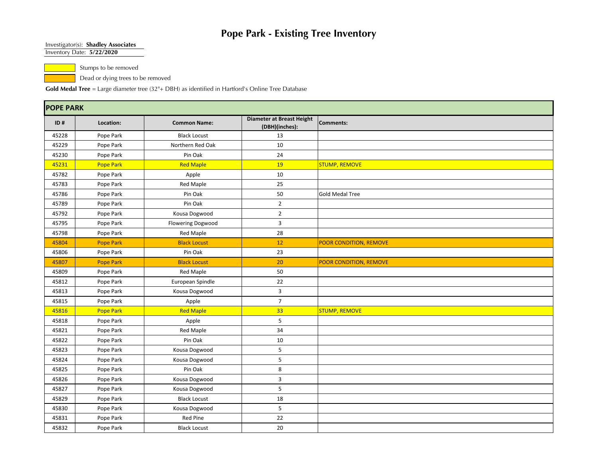#### Investigator(s): **Shadley Associates**

Inventory Date: **5/22/2020**

Stumps to be removed

Dead or dying trees to be removed

|       | <b>POPE PARK</b> |                          |                                                    |                        |  |  |  |  |
|-------|------------------|--------------------------|----------------------------------------------------|------------------------|--|--|--|--|
| ID#   | Location:        | <b>Common Name:</b>      | <b>Diameter at Breast Height</b><br>(DBH)(inches): | <b>Comments:</b>       |  |  |  |  |
| 45228 | Pope Park        | <b>Black Locust</b>      | 13                                                 |                        |  |  |  |  |
| 45229 | Pope Park        | Northern Red Oak         | 10                                                 |                        |  |  |  |  |
| 45230 | Pope Park        | Pin Oak                  | 24                                                 |                        |  |  |  |  |
| 45231 | <b>Pope Park</b> | <b>Red Maple</b>         | <b>19</b>                                          | <b>STUMP, REMOVE</b>   |  |  |  |  |
| 45782 | Pope Park        | Apple                    | 10                                                 |                        |  |  |  |  |
| 45783 | Pope Park        | Red Maple                | 25                                                 |                        |  |  |  |  |
| 45786 | Pope Park        | Pin Oak                  | 50                                                 | <b>Gold Medal Tree</b> |  |  |  |  |
| 45789 | Pope Park        | Pin Oak                  | $\overline{2}$                                     |                        |  |  |  |  |
| 45792 | Pope Park        | Kousa Dogwood            | $\overline{2}$                                     |                        |  |  |  |  |
| 45795 | Pope Park        | <b>Flowering Dogwood</b> | $\overline{3}$                                     |                        |  |  |  |  |
| 45798 | Pope Park        | Red Maple                | 28                                                 |                        |  |  |  |  |
| 45804 | <b>Pope Park</b> | <b>Black Locust</b>      | 12                                                 | POOR CONDITION, REMOVE |  |  |  |  |
| 45806 | Pope Park        | Pin Oak                  | 23                                                 |                        |  |  |  |  |
| 45807 | <b>Pope Park</b> | <b>Black Locust</b>      | 20                                                 | POOR CONDITION, REMOVE |  |  |  |  |
| 45809 | Pope Park        | Red Maple                | 50                                                 |                        |  |  |  |  |
| 45812 | Pope Park        | European Spindle         | 22                                                 |                        |  |  |  |  |
| 45813 | Pope Park        | Kousa Dogwood            | $\overline{3}$                                     |                        |  |  |  |  |
| 45815 | Pope Park        | Apple                    | $\overline{7}$                                     |                        |  |  |  |  |
| 45816 | <b>Pope Park</b> | <b>Red Maple</b>         | 33                                                 | <b>STUMP, REMOVE</b>   |  |  |  |  |
| 45818 | Pope Park        | Apple                    | 5                                                  |                        |  |  |  |  |
| 45821 | Pope Park        | Red Maple                | 34                                                 |                        |  |  |  |  |
| 45822 | Pope Park        | Pin Oak                  | 10                                                 |                        |  |  |  |  |
| 45823 | Pope Park        | Kousa Dogwood            | 5                                                  |                        |  |  |  |  |
| 45824 | Pope Park        | Kousa Dogwood            | 5                                                  |                        |  |  |  |  |
| 45825 | Pope Park        | Pin Oak                  | 8                                                  |                        |  |  |  |  |
| 45826 | Pope Park        | Kousa Dogwood            | $\overline{3}$                                     |                        |  |  |  |  |
| 45827 | Pope Park        | Kousa Dogwood            | 5                                                  |                        |  |  |  |  |
| 45829 | Pope Park        | <b>Black Locust</b>      | 18                                                 |                        |  |  |  |  |
| 45830 | Pope Park        | Kousa Dogwood            | 5                                                  |                        |  |  |  |  |
| 45831 | Pope Park        | Red Pine                 | 22                                                 |                        |  |  |  |  |
| 45832 | Pope Park        | <b>Black Locust</b>      | 20                                                 |                        |  |  |  |  |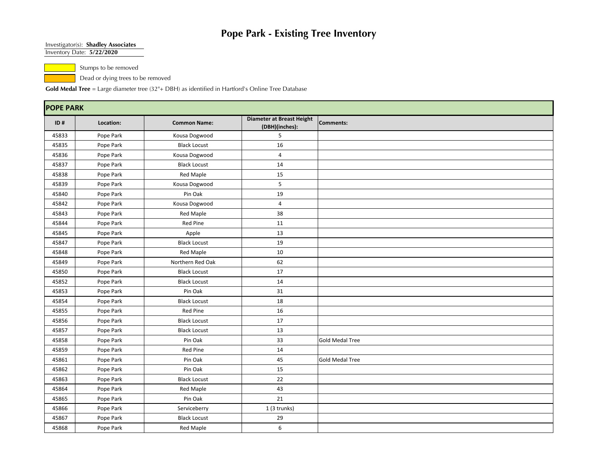#### Investigator(s): **Shadley Associates**

Inventory Date: **5/22/2020**

Stumps to be removed

Dead or dying trees to be removed

|       | <b>POPE PARK</b> |                     |                                             |                        |  |  |  |  |
|-------|------------------|---------------------|---------------------------------------------|------------------------|--|--|--|--|
| ID#   | Location:        | <b>Common Name:</b> | Diameter at Breast Height<br>(DBH)(inches): | <b>Comments:</b>       |  |  |  |  |
| 45833 | Pope Park        | Kousa Dogwood       | 5                                           |                        |  |  |  |  |
| 45835 | Pope Park        | <b>Black Locust</b> | 16                                          |                        |  |  |  |  |
| 45836 | Pope Park        | Kousa Dogwood       | 4                                           |                        |  |  |  |  |
| 45837 | Pope Park        | <b>Black Locust</b> | 14                                          |                        |  |  |  |  |
| 45838 | Pope Park        | <b>Red Maple</b>    | 15                                          |                        |  |  |  |  |
| 45839 | Pope Park        | Kousa Dogwood       | 5                                           |                        |  |  |  |  |
| 45840 | Pope Park        | Pin Oak             | 19                                          |                        |  |  |  |  |
| 45842 | Pope Park        | Kousa Dogwood       | 4                                           |                        |  |  |  |  |
| 45843 | Pope Park        | <b>Red Maple</b>    | 38                                          |                        |  |  |  |  |
| 45844 | Pope Park        | Red Pine            | 11                                          |                        |  |  |  |  |
| 45845 | Pope Park        | Apple               | 13                                          |                        |  |  |  |  |
| 45847 | Pope Park        | <b>Black Locust</b> | 19                                          |                        |  |  |  |  |
| 45848 | Pope Park        | <b>Red Maple</b>    | 10                                          |                        |  |  |  |  |
| 45849 | Pope Park        | Northern Red Oak    | 62                                          |                        |  |  |  |  |
| 45850 | Pope Park        | <b>Black Locust</b> | 17                                          |                        |  |  |  |  |
| 45852 | Pope Park        | <b>Black Locust</b> | 14                                          |                        |  |  |  |  |
| 45853 | Pope Park        | Pin Oak             | 31                                          |                        |  |  |  |  |
| 45854 | Pope Park        | <b>Black Locust</b> | 18                                          |                        |  |  |  |  |
| 45855 | Pope Park        | Red Pine            | 16                                          |                        |  |  |  |  |
| 45856 | Pope Park        | <b>Black Locust</b> | 17                                          |                        |  |  |  |  |
| 45857 | Pope Park        | <b>Black Locust</b> | 13                                          |                        |  |  |  |  |
| 45858 | Pope Park        | Pin Oak             | 33                                          | <b>Gold Medal Tree</b> |  |  |  |  |
| 45859 | Pope Park        | Red Pine            | 14                                          |                        |  |  |  |  |
| 45861 | Pope Park        | Pin Oak             | 45                                          | <b>Gold Medal Tree</b> |  |  |  |  |
| 45862 | Pope Park        | Pin Oak             | 15                                          |                        |  |  |  |  |
| 45863 | Pope Park        | <b>Black Locust</b> | 22                                          |                        |  |  |  |  |
| 45864 | Pope Park        | <b>Red Maple</b>    | 43                                          |                        |  |  |  |  |
| 45865 | Pope Park        | Pin Oak             | 21                                          |                        |  |  |  |  |
| 45866 | Pope Park        | Serviceberry        | 1 (3 trunks)                                |                        |  |  |  |  |
| 45867 | Pope Park        | <b>Black Locust</b> | 29                                          |                        |  |  |  |  |
| 45868 | Pope Park        | <b>Red Maple</b>    | 6                                           |                        |  |  |  |  |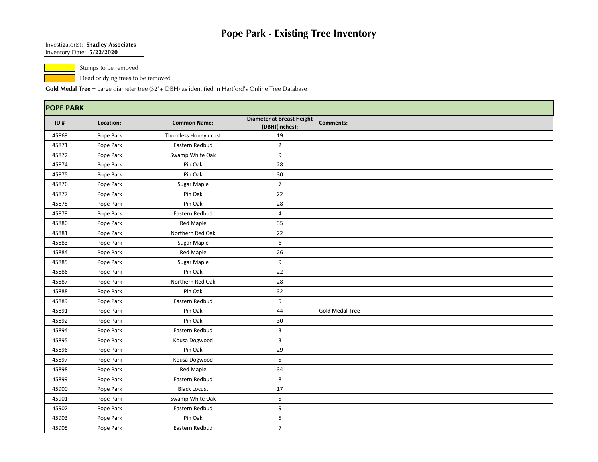#### Investigator(s): **Shadley Associates**

Inventory Date: **5/22/2020**

Stumps to be removed

Dead or dying trees to be removed

|       | <b>POPE PARK</b> |                       |                                                    |                        |  |  |  |  |
|-------|------------------|-----------------------|----------------------------------------------------|------------------------|--|--|--|--|
| ID#   | Location:        | <b>Common Name:</b>   | <b>Diameter at Breast Height</b><br>(DBH)(inches): | Comments:              |  |  |  |  |
| 45869 | Pope Park        | Thornless Honeylocust | 19                                                 |                        |  |  |  |  |
| 45871 | Pope Park        | Eastern Redbud        | $\overline{2}$                                     |                        |  |  |  |  |
| 45872 | Pope Park        | Swamp White Oak       | 9                                                  |                        |  |  |  |  |
| 45874 | Pope Park        | Pin Oak               | 28                                                 |                        |  |  |  |  |
| 45875 | Pope Park        | Pin Oak               | 30                                                 |                        |  |  |  |  |
| 45876 | Pope Park        | Sugar Maple           | $\overline{7}$                                     |                        |  |  |  |  |
| 45877 | Pope Park        | Pin Oak               | 22                                                 |                        |  |  |  |  |
| 45878 | Pope Park        | Pin Oak               | 28                                                 |                        |  |  |  |  |
| 45879 | Pope Park        | Eastern Redbud        | 4                                                  |                        |  |  |  |  |
| 45880 | Pope Park        | Red Maple             | 35                                                 |                        |  |  |  |  |
| 45881 | Pope Park        | Northern Red Oak      | 22                                                 |                        |  |  |  |  |
| 45883 | Pope Park        | Sugar Maple           | 6                                                  |                        |  |  |  |  |
| 45884 | Pope Park        | Red Maple             | 26                                                 |                        |  |  |  |  |
| 45885 | Pope Park        | Sugar Maple           | 9                                                  |                        |  |  |  |  |
| 45886 | Pope Park        | Pin Oak               | 22                                                 |                        |  |  |  |  |
| 45887 | Pope Park        | Northern Red Oak      | 28                                                 |                        |  |  |  |  |
| 45888 | Pope Park        | Pin Oak               | 32                                                 |                        |  |  |  |  |
| 45889 | Pope Park        | Eastern Redbud        | 5                                                  |                        |  |  |  |  |
| 45891 | Pope Park        | Pin Oak               | 44                                                 | <b>Gold Medal Tree</b> |  |  |  |  |
| 45892 | Pope Park        | Pin Oak               | 30                                                 |                        |  |  |  |  |
| 45894 | Pope Park        | Eastern Redbud        | $\overline{3}$                                     |                        |  |  |  |  |
| 45895 | Pope Park        | Kousa Dogwood         | 3                                                  |                        |  |  |  |  |
| 45896 | Pope Park        | Pin Oak               | 29                                                 |                        |  |  |  |  |
| 45897 | Pope Park        | Kousa Dogwood         | 5                                                  |                        |  |  |  |  |
| 45898 | Pope Park        | <b>Red Maple</b>      | 34                                                 |                        |  |  |  |  |
| 45899 | Pope Park        | Eastern Redbud        | 8                                                  |                        |  |  |  |  |
| 45900 | Pope Park        | <b>Black Locust</b>   | 17                                                 |                        |  |  |  |  |
| 45901 | Pope Park        | Swamp White Oak       | 5                                                  |                        |  |  |  |  |
| 45902 | Pope Park        | Eastern Redbud        | 9                                                  |                        |  |  |  |  |
| 45903 | Pope Park        | Pin Oak               | 5                                                  |                        |  |  |  |  |
| 45905 | Pope Park        | Eastern Redbud        | $\overline{7}$                                     |                        |  |  |  |  |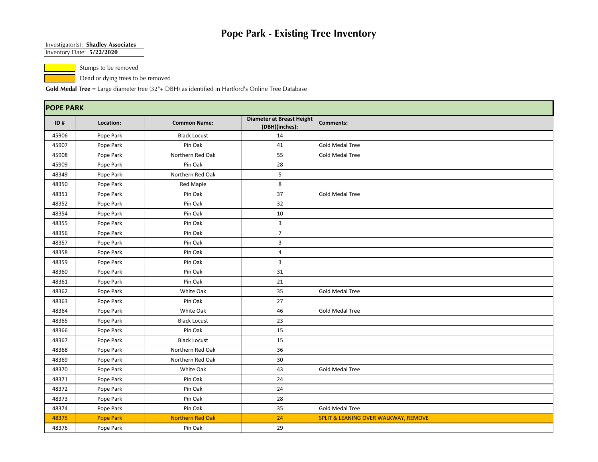#### Investigator(s): **Shadley Associates**

Inventory Date: **5/22/2020**

Stumps to be removed

Dead or dying trees to be removed

|       | <b>POPE PARK</b> |                         |                                             |                                                 |  |  |  |  |  |
|-------|------------------|-------------------------|---------------------------------------------|-------------------------------------------------|--|--|--|--|--|
| ID#   | Location:        | <b>Common Name:</b>     | Diameter at Breast Height<br>(DBH)(inches): | <b>Comments:</b>                                |  |  |  |  |  |
| 45906 | Pope Park        | <b>Black Locust</b>     | 14                                          |                                                 |  |  |  |  |  |
| 45907 | Pope Park        | Pin Oak                 | 41                                          | Gold Medal Tree                                 |  |  |  |  |  |
| 45908 | Pope Park        | Northern Red Oak        | 55                                          | <b>Gold Medal Tree</b>                          |  |  |  |  |  |
| 45909 | Pope Park        | Pin Oak                 | 28                                          |                                                 |  |  |  |  |  |
| 48349 | Pope Park        | Northern Red Oak        | 5                                           |                                                 |  |  |  |  |  |
| 48350 | Pope Park        | <b>Red Maple</b>        | 8                                           |                                                 |  |  |  |  |  |
| 48351 | Pope Park        | Pin Oak                 | 37                                          | <b>Gold Medal Tree</b>                          |  |  |  |  |  |
| 48352 | Pope Park        | Pin Oak                 | 32                                          |                                                 |  |  |  |  |  |
| 48354 | Pope Park        | Pin Oak                 | 10                                          |                                                 |  |  |  |  |  |
| 48355 | Pope Park        | Pin Oak                 | 3                                           |                                                 |  |  |  |  |  |
| 48356 | Pope Park        | Pin Oak                 | $\overline{7}$                              |                                                 |  |  |  |  |  |
| 48357 | Pope Park        | Pin Oak                 | 3                                           |                                                 |  |  |  |  |  |
| 48358 | Pope Park        | Pin Oak                 | 4                                           |                                                 |  |  |  |  |  |
| 48359 | Pope Park        | Pin Oak                 | 3                                           |                                                 |  |  |  |  |  |
| 48360 | Pope Park        | Pin Oak                 | 31                                          |                                                 |  |  |  |  |  |
| 48361 | Pope Park        | Pin Oak                 | 21                                          |                                                 |  |  |  |  |  |
| 48362 | Pope Park        | White Oak               | 35                                          | <b>Gold Medal Tree</b>                          |  |  |  |  |  |
| 48363 | Pope Park        | Pin Oak                 | 27                                          |                                                 |  |  |  |  |  |
| 48364 | Pope Park        | White Oak               | 46                                          | <b>Gold Medal Tree</b>                          |  |  |  |  |  |
| 48365 | Pope Park        | <b>Black Locust</b>     | 23                                          |                                                 |  |  |  |  |  |
| 48366 | Pope Park        | Pin Oak                 | 15                                          |                                                 |  |  |  |  |  |
| 48367 | Pope Park        | <b>Black Locust</b>     | 15                                          |                                                 |  |  |  |  |  |
| 48368 | Pope Park        | Northern Red Oak        | 36                                          |                                                 |  |  |  |  |  |
| 48369 | Pope Park        | Northern Red Oak        | 30                                          |                                                 |  |  |  |  |  |
| 48370 | Pope Park        | White Oak               | 43                                          | <b>Gold Medal Tree</b>                          |  |  |  |  |  |
| 48371 | Pope Park        | Pin Oak                 | 24                                          |                                                 |  |  |  |  |  |
| 48372 | Pope Park        | Pin Oak                 | 24                                          |                                                 |  |  |  |  |  |
| 48373 | Pope Park        | Pin Oak                 | 28                                          |                                                 |  |  |  |  |  |
| 48374 | Pope Park        | Pin Oak                 | 35                                          | <b>Gold Medal Tree</b>                          |  |  |  |  |  |
| 48375 | <b>Pope Park</b> | <b>Northern Red Oak</b> | 24                                          | <b>SPLIT &amp; LEANING OVER WALKWAY, REMOVE</b> |  |  |  |  |  |
| 48376 | Pope Park        | Pin Oak                 | 29                                          |                                                 |  |  |  |  |  |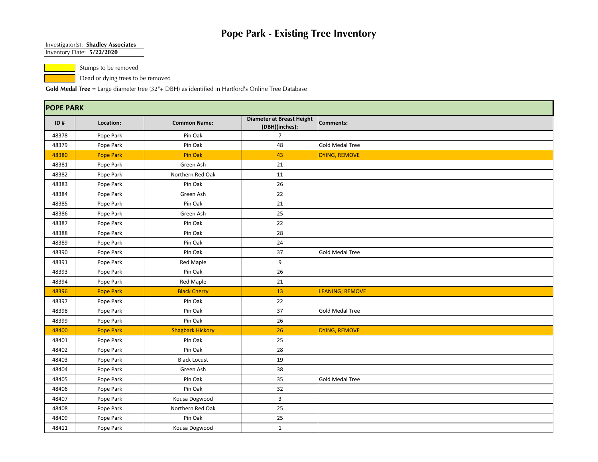#### Investigator(s): **Shadley Associates**

Inventory Date: **5/22/2020**

Stumps to be removed

Dead or dying trees to be removed

|       | <b>POPE PARK</b> |                         |                                                    |                        |  |  |  |  |  |
|-------|------------------|-------------------------|----------------------------------------------------|------------------------|--|--|--|--|--|
| ID#   | Location:        | <b>Common Name:</b>     | <b>Diameter at Breast Height</b><br>(DBH)(inches): | <b>Comments:</b>       |  |  |  |  |  |
| 48378 | Pope Park        | Pin Oak                 | $\overline{7}$                                     |                        |  |  |  |  |  |
| 48379 | Pope Park        | Pin Oak                 | 48                                                 | <b>Gold Medal Tree</b> |  |  |  |  |  |
| 48380 | <b>Pope Park</b> | Pin Oak                 | 43                                                 | DYING, REMOVE          |  |  |  |  |  |
| 48381 | Pope Park        | Green Ash               | 21                                                 |                        |  |  |  |  |  |
| 48382 | Pope Park        | Northern Red Oak        | 11                                                 |                        |  |  |  |  |  |
| 48383 | Pope Park        | Pin Oak                 | 26                                                 |                        |  |  |  |  |  |
| 48384 | Pope Park        | Green Ash               | 22                                                 |                        |  |  |  |  |  |
| 48385 | Pope Park        | Pin Oak                 | 21                                                 |                        |  |  |  |  |  |
| 48386 | Pope Park        | Green Ash               | 25                                                 |                        |  |  |  |  |  |
| 48387 | Pope Park        | Pin Oak                 | 22                                                 |                        |  |  |  |  |  |
| 48388 | Pope Park        | Pin Oak                 | 28                                                 |                        |  |  |  |  |  |
| 48389 | Pope Park        | Pin Oak                 | 24                                                 |                        |  |  |  |  |  |
| 48390 | Pope Park        | Pin Oak                 | 37                                                 | <b>Gold Medal Tree</b> |  |  |  |  |  |
| 48391 | Pope Park        | <b>Red Maple</b>        | 9                                                  |                        |  |  |  |  |  |
| 48393 | Pope Park        | Pin Oak                 | 26                                                 |                        |  |  |  |  |  |
| 48394 | Pope Park        | <b>Red Maple</b>        | 21                                                 |                        |  |  |  |  |  |
| 48396 | Pope Park        | <b>Black Cherry</b>     | 13                                                 | LEANING; REMOVE        |  |  |  |  |  |
| 48397 | Pope Park        | Pin Oak                 | 22                                                 |                        |  |  |  |  |  |
| 48398 | Pope Park        | Pin Oak                 | 37                                                 | <b>Gold Medal Tree</b> |  |  |  |  |  |
| 48399 | Pope Park        | Pin Oak                 | 26                                                 |                        |  |  |  |  |  |
| 48400 | <b>Pope Park</b> | <b>Shagbark Hickory</b> | 26                                                 | DYING, REMOVE          |  |  |  |  |  |
| 48401 | Pope Park        | Pin Oak                 | 25                                                 |                        |  |  |  |  |  |
| 48402 | Pope Park        | Pin Oak                 | 28                                                 |                        |  |  |  |  |  |
| 48403 | Pope Park        | <b>Black Locust</b>     | 19                                                 |                        |  |  |  |  |  |
| 48404 | Pope Park        | Green Ash               | 38                                                 |                        |  |  |  |  |  |
| 48405 | Pope Park        | Pin Oak                 | 35                                                 | <b>Gold Medal Tree</b> |  |  |  |  |  |
| 48406 | Pope Park        | Pin Oak                 | 32                                                 |                        |  |  |  |  |  |
| 48407 | Pope Park        | Kousa Dogwood           | 3                                                  |                        |  |  |  |  |  |
| 48408 | Pope Park        | Northern Red Oak        | 25                                                 |                        |  |  |  |  |  |
| 48409 | Pope Park        | Pin Oak                 | 25                                                 |                        |  |  |  |  |  |
| 48411 | Pope Park        | Kousa Dogwood           | $\mathbf{1}$                                       |                        |  |  |  |  |  |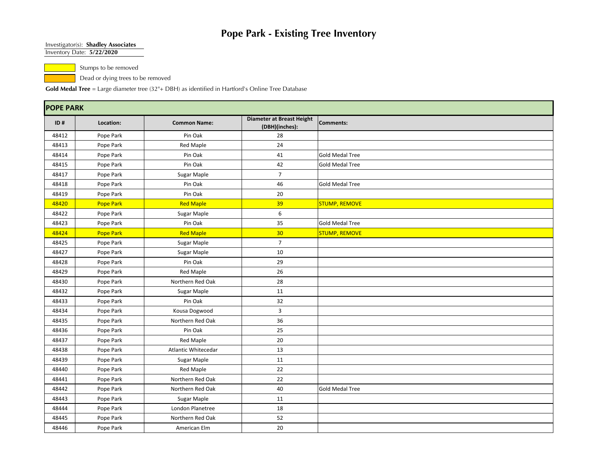#### Investigator(s): **Shadley Associates**

Inventory Date: **5/22/2020**

Stumps to be removed

Dead or dying trees to be removed

|       | <b>POPE PARK</b> |                     |                                             |                        |  |  |  |  |  |
|-------|------------------|---------------------|---------------------------------------------|------------------------|--|--|--|--|--|
| ID#   | Location:        | <b>Common Name:</b> | Diameter at Breast Height<br>(DBH)(inches): | <b>Comments:</b>       |  |  |  |  |  |
| 48412 | Pope Park        | Pin Oak             | 28                                          |                        |  |  |  |  |  |
| 48413 | Pope Park        | <b>Red Maple</b>    | 24                                          |                        |  |  |  |  |  |
| 48414 | Pope Park        | Pin Oak             | 41                                          | <b>Gold Medal Tree</b> |  |  |  |  |  |
| 48415 | Pope Park        | Pin Oak             | 42                                          | <b>Gold Medal Tree</b> |  |  |  |  |  |
| 48417 | Pope Park        | Sugar Maple         | $\overline{7}$                              |                        |  |  |  |  |  |
| 48418 | Pope Park        | Pin Oak             | 46                                          | <b>Gold Medal Tree</b> |  |  |  |  |  |
| 48419 | Pope Park        | Pin Oak             | 20                                          |                        |  |  |  |  |  |
| 48420 | <b>Pope Park</b> | <b>Red Maple</b>    | 39                                          | <b>STUMP, REMOVE</b>   |  |  |  |  |  |
| 48422 | Pope Park        | Sugar Maple         | 6                                           |                        |  |  |  |  |  |
| 48423 | Pope Park        | Pin Oak             | 35                                          | <b>Gold Medal Tree</b> |  |  |  |  |  |
| 48424 | <b>Pope Park</b> | <b>Red Maple</b>    | 30                                          | <b>STUMP, REMOVE</b>   |  |  |  |  |  |
| 48425 | Pope Park        | Sugar Maple         | $\overline{7}$                              |                        |  |  |  |  |  |
| 48427 | Pope Park        | Sugar Maple         | 10                                          |                        |  |  |  |  |  |
| 48428 | Pope Park        | Pin Oak             | 29                                          |                        |  |  |  |  |  |
| 48429 | Pope Park        | <b>Red Maple</b>    | 26                                          |                        |  |  |  |  |  |
| 48430 | Pope Park        | Northern Red Oak    | 28                                          |                        |  |  |  |  |  |
| 48432 | Pope Park        | Sugar Maple         | 11                                          |                        |  |  |  |  |  |
| 48433 | Pope Park        | Pin Oak             | 32                                          |                        |  |  |  |  |  |
| 48434 | Pope Park        | Kousa Dogwood       | 3                                           |                        |  |  |  |  |  |
| 48435 | Pope Park        | Northern Red Oak    | 36                                          |                        |  |  |  |  |  |
| 48436 | Pope Park        | Pin Oak             | 25                                          |                        |  |  |  |  |  |
| 48437 | Pope Park        | <b>Red Maple</b>    | 20                                          |                        |  |  |  |  |  |
| 48438 | Pope Park        | Atlantic Whitecedar | 13                                          |                        |  |  |  |  |  |
| 48439 | Pope Park        | Sugar Maple         | 11                                          |                        |  |  |  |  |  |
| 48440 | Pope Park        | <b>Red Maple</b>    | 22                                          |                        |  |  |  |  |  |
| 48441 | Pope Park        | Northern Red Oak    | 22                                          |                        |  |  |  |  |  |
| 48442 | Pope Park        | Northern Red Oak    | 40                                          | <b>Gold Medal Tree</b> |  |  |  |  |  |
| 48443 | Pope Park        | Sugar Maple         | 11                                          |                        |  |  |  |  |  |
| 48444 | Pope Park        | London Planetree    | 18                                          |                        |  |  |  |  |  |
| 48445 | Pope Park        | Northern Red Oak    | 52                                          |                        |  |  |  |  |  |
| 48446 | Pope Park        | American Elm        | 20                                          |                        |  |  |  |  |  |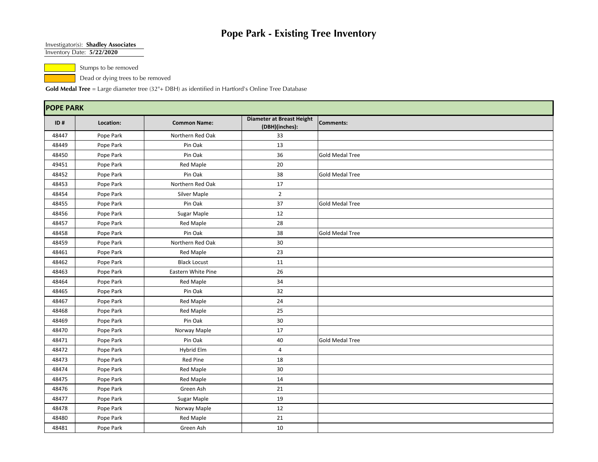#### Investigator(s): **Shadley Associates**

Inventory Date: **5/22/2020**

Stumps to be removed

Dead or dying trees to be removed

|       | <b>POPE PARK</b> |                     |                                                    |                        |  |  |  |  |  |
|-------|------------------|---------------------|----------------------------------------------------|------------------------|--|--|--|--|--|
| ID#   | Location:        | <b>Common Name:</b> | <b>Diameter at Breast Height</b><br>(DBH)(inches): | <b>Comments:</b>       |  |  |  |  |  |
| 48447 | Pope Park        | Northern Red Oak    | 33                                                 |                        |  |  |  |  |  |
| 48449 | Pope Park        | Pin Oak             | 13                                                 |                        |  |  |  |  |  |
| 48450 | Pope Park        | Pin Oak             | 36                                                 | <b>Gold Medal Tree</b> |  |  |  |  |  |
| 49451 | Pope Park        | <b>Red Maple</b>    | $20\,$                                             |                        |  |  |  |  |  |
| 48452 | Pope Park        | Pin Oak             | 38                                                 | <b>Gold Medal Tree</b> |  |  |  |  |  |
| 48453 | Pope Park        | Northern Red Oak    | 17                                                 |                        |  |  |  |  |  |
| 48454 | Pope Park        | Silver Maple        | $\overline{2}$                                     |                        |  |  |  |  |  |
| 48455 | Pope Park        | Pin Oak             | 37                                                 | <b>Gold Medal Tree</b> |  |  |  |  |  |
| 48456 | Pope Park        | Sugar Maple         | 12                                                 |                        |  |  |  |  |  |
| 48457 | Pope Park        | Red Maple           | 28                                                 |                        |  |  |  |  |  |
| 48458 | Pope Park        | Pin Oak             | 38                                                 | <b>Gold Medal Tree</b> |  |  |  |  |  |
| 48459 | Pope Park        | Northern Red Oak    | 30                                                 |                        |  |  |  |  |  |
| 48461 | Pope Park        | <b>Red Maple</b>    | 23                                                 |                        |  |  |  |  |  |
| 48462 | Pope Park        | <b>Black Locust</b> | 11                                                 |                        |  |  |  |  |  |
| 48463 | Pope Park        | Eastern White Pine  | 26                                                 |                        |  |  |  |  |  |
| 48464 | Pope Park        | <b>Red Maple</b>    | 34                                                 |                        |  |  |  |  |  |
| 48465 | Pope Park        | Pin Oak             | 32                                                 |                        |  |  |  |  |  |
| 48467 | Pope Park        | Red Maple           | 24                                                 |                        |  |  |  |  |  |
| 48468 | Pope Park        | Red Maple           | 25                                                 |                        |  |  |  |  |  |
| 48469 | Pope Park        | Pin Oak             | 30                                                 |                        |  |  |  |  |  |
| 48470 | Pope Park        | Norway Maple        | 17                                                 |                        |  |  |  |  |  |
| 48471 | Pope Park        | Pin Oak             | 40                                                 | <b>Gold Medal Tree</b> |  |  |  |  |  |
| 48472 | Pope Park        | Hybrid Elm          | 4                                                  |                        |  |  |  |  |  |
| 48473 | Pope Park        | Red Pine            | 18                                                 |                        |  |  |  |  |  |
| 48474 | Pope Park        | Red Maple           | 30                                                 |                        |  |  |  |  |  |
| 48475 | Pope Park        | <b>Red Maple</b>    | 14                                                 |                        |  |  |  |  |  |
| 48476 | Pope Park        | Green Ash           | 21                                                 |                        |  |  |  |  |  |
| 48477 | Pope Park        | Sugar Maple         | 19                                                 |                        |  |  |  |  |  |
| 48478 | Pope Park        | Norway Maple        | 12                                                 |                        |  |  |  |  |  |
| 48480 | Pope Park        | <b>Red Maple</b>    | 21                                                 |                        |  |  |  |  |  |
| 48481 | Pope Park        | Green Ash           | 10                                                 |                        |  |  |  |  |  |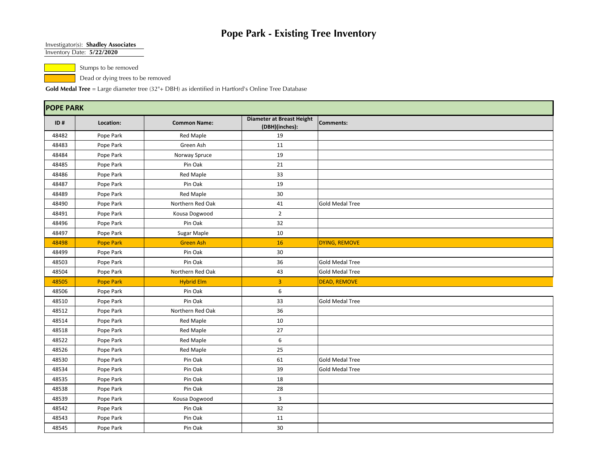#### Investigator(s): **Shadley Associates**

Inventory Date: **5/22/2020**

Stumps to be removed

Dead or dying trees to be removed

| <b>POPE PARK</b> |                  |                     |                                                    |                        |  |
|------------------|------------------|---------------------|----------------------------------------------------|------------------------|--|
| ID#              | Location:        | <b>Common Name:</b> | <b>Diameter at Breast Height</b><br>(DBH)(inches): | Comments:              |  |
| 48482            | Pope Park        | <b>Red Maple</b>    | 19                                                 |                        |  |
| 48483            | Pope Park        | Green Ash           | 11                                                 |                        |  |
| 48484            | Pope Park        | Norway Spruce       | 19                                                 |                        |  |
| 48485            | Pope Park        | Pin Oak             | 21                                                 |                        |  |
| 48486            | Pope Park        | <b>Red Maple</b>    | 33                                                 |                        |  |
| 48487            | Pope Park        | Pin Oak             | 19                                                 |                        |  |
| 48489            | Pope Park        | <b>Red Maple</b>    | 30                                                 |                        |  |
| 48490            | Pope Park        | Northern Red Oak    | 41                                                 | <b>Gold Medal Tree</b> |  |
| 48491            | Pope Park        | Kousa Dogwood       | $\overline{2}$                                     |                        |  |
| 48496            | Pope Park        | Pin Oak             | 32                                                 |                        |  |
| 48497            | Pope Park        | Sugar Maple         | 10                                                 |                        |  |
| 48498            | Pope Park        | <b>Green Ash</b>    | 16                                                 | DYING, REMOVE          |  |
| 48499            | Pope Park        | Pin Oak             | 30                                                 |                        |  |
| 48503            | Pope Park        | Pin Oak             | 36                                                 | <b>Gold Medal Tree</b> |  |
| 48504            | Pope Park        | Northern Red Oak    | 43                                                 | <b>Gold Medal Tree</b> |  |
| 48505            | <b>Pope Park</b> | <b>Hybrid Elm</b>   | 3                                                  | <b>DEAD, REMOVE</b>    |  |
| 48506            | Pope Park        | Pin Oak             | 6                                                  |                        |  |
| 48510            | Pope Park        | Pin Oak             | 33                                                 | Gold Medal Tree        |  |
| 48512            | Pope Park        | Northern Red Oak    | 36                                                 |                        |  |
| 48514            | Pope Park        | <b>Red Maple</b>    | 10                                                 |                        |  |
| 48518            | Pope Park        | Red Maple           | 27                                                 |                        |  |
| 48522            | Pope Park        | Red Maple           | 6                                                  |                        |  |
| 48526            | Pope Park        | <b>Red Maple</b>    | 25                                                 |                        |  |
| 48530            | Pope Park        | Pin Oak             | 61                                                 | <b>Gold Medal Tree</b> |  |
| 48534            | Pope Park        | Pin Oak             | 39                                                 | <b>Gold Medal Tree</b> |  |
| 48535            | Pope Park        | Pin Oak             | 18                                                 |                        |  |
| 48538            | Pope Park        | Pin Oak             | 28                                                 |                        |  |
| 48539            | Pope Park        | Kousa Dogwood       | 3                                                  |                        |  |
| 48542            | Pope Park        | Pin Oak             | 32                                                 |                        |  |
| 48543            | Pope Park        | Pin Oak             | 11                                                 |                        |  |
| 48545            | Pope Park        | Pin Oak             | 30                                                 |                        |  |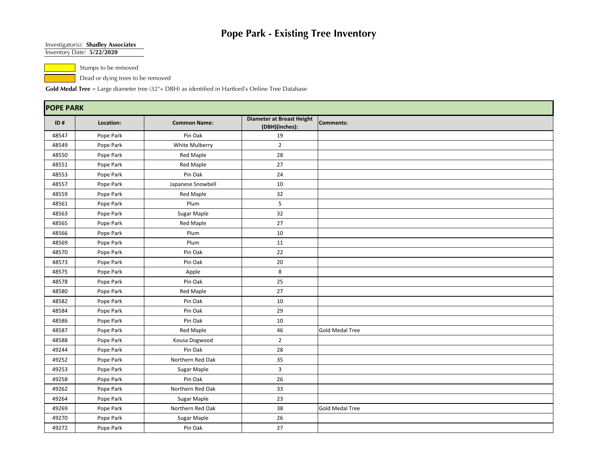#### Investigator(s): **Shadley Associates**

Inventory Date: **5/22/2020**

Stumps to be removed

Dead or dying trees to be removed

| <b>POPE PARK</b> |           |                     |                                                    |                        |
|------------------|-----------|---------------------|----------------------------------------------------|------------------------|
| ID#              | Location: | <b>Common Name:</b> | <b>Diameter at Breast Height</b><br>(DBH)(inches): | Comments:              |
| 48547            | Pope Park | Pin Oak             | 19                                                 |                        |
| 48549            | Pope Park | White Mulberry      | $\overline{2}$                                     |                        |
| 48550            | Pope Park | Red Maple           | 28                                                 |                        |
| 48551            | Pope Park | <b>Red Maple</b>    | 27                                                 |                        |
| 48553            | Pope Park | Pin Oak             | 24                                                 |                        |
| 48557            | Pope Park | Japanese Snowbell   | 10                                                 |                        |
| 48559            | Pope Park | <b>Red Maple</b>    | 32                                                 |                        |
| 48561            | Pope Park | Plum                | 5                                                  |                        |
| 48563            | Pope Park | Sugar Maple         | 32                                                 |                        |
| 48565            | Pope Park | Red Maple           | 27                                                 |                        |
| 48566            | Pope Park | Plum                | 10                                                 |                        |
| 48569            | Pope Park | Plum                | 11                                                 |                        |
| 48570            | Pope Park | Pin Oak             | 22                                                 |                        |
| 48573            | Pope Park | Pin Oak             | 20                                                 |                        |
| 48575            | Pope Park | Apple               | 8                                                  |                        |
| 48578            | Pope Park | Pin Oak             | 25                                                 |                        |
| 48580            | Pope Park | <b>Red Maple</b>    | 27                                                 |                        |
| 48582            | Pope Park | Pin Oak             | 10                                                 |                        |
| 48584            | Pope Park | Pin Oak             | 29                                                 |                        |
| 48586            | Pope Park | Pin Oak             | 10                                                 |                        |
| 48587            | Pope Park | Red Maple           | 46                                                 | <b>Gold Medal Tree</b> |
| 48588            | Pope Park | Kousa Dogwood       | $\overline{2}$                                     |                        |
| 49244            | Pope Park | Pin Oak             | 28                                                 |                        |
| 49252            | Pope Park | Northern Red Oak    | 35                                                 |                        |
| 49253            | Pope Park | Sugar Maple         | $\overline{3}$                                     |                        |
| 49258            | Pope Park | Pin Oak             | 26                                                 |                        |
| 49262            | Pope Park | Northern Red Oak    | 33                                                 |                        |
| 49264            | Pope Park | Sugar Maple         | 23                                                 |                        |
| 49269            | Pope Park | Northern Red Oak    | 38                                                 | <b>Gold Medal Tree</b> |
| 49270            | Pope Park | Sugar Maple         | 26                                                 |                        |
| 49272            | Pope Park | Pin Oak             | 27                                                 |                        |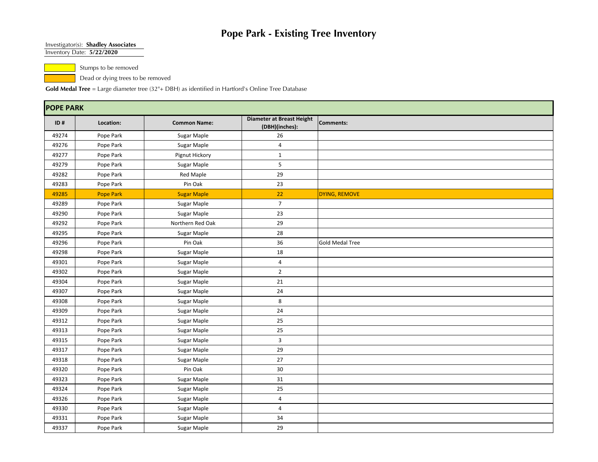#### Investigator(s): **Shadley Associates**

Inventory Date: **5/22/2020**

Stumps to be removed

Dead or dying trees to be removed

| <b>POPE PARK</b> |                  |                     |                                                    |                        |  |
|------------------|------------------|---------------------|----------------------------------------------------|------------------------|--|
| ID#              | Location:        | <b>Common Name:</b> | <b>Diameter at Breast Height</b><br>(DBH)(inches): | Comments:              |  |
| 49274            | Pope Park        | Sugar Maple         | 26                                                 |                        |  |
| 49276            | Pope Park        | Sugar Maple         | $\overline{4}$                                     |                        |  |
| 49277            | Pope Park        | Pignut Hickory      | $\mathbf{1}$                                       |                        |  |
| 49279            | Pope Park        | Sugar Maple         | 5                                                  |                        |  |
| 49282            | Pope Park        | Red Maple           | 29                                                 |                        |  |
| 49283            | Pope Park        | Pin Oak             | 23                                                 |                        |  |
| 49285            | <b>Pope Park</b> | <b>Sugar Maple</b>  | 22                                                 | DYING, REMOVE          |  |
| 49289            | Pope Park        | Sugar Maple         | $\overline{7}$                                     |                        |  |
| 49290            | Pope Park        | Sugar Maple         | 23                                                 |                        |  |
| 49292            | Pope Park        | Northern Red Oak    | 29                                                 |                        |  |
| 49295            | Pope Park        | Sugar Maple         | 28                                                 |                        |  |
| 49296            | Pope Park        | Pin Oak             | 36                                                 | <b>Gold Medal Tree</b> |  |
| 49298            | Pope Park        | Sugar Maple         | 18                                                 |                        |  |
| 49301            | Pope Park        | Sugar Maple         | $\overline{4}$                                     |                        |  |
| 49302            | Pope Park        | Sugar Maple         | $\overline{2}$                                     |                        |  |
| 49304            | Pope Park        | Sugar Maple         | 21                                                 |                        |  |
| 49307            | Pope Park        | Sugar Maple         | 24                                                 |                        |  |
| 49308            | Pope Park        | Sugar Maple         | 8                                                  |                        |  |
| 49309            | Pope Park        | Sugar Maple         | 24                                                 |                        |  |
| 49312            | Pope Park        | Sugar Maple         | 25                                                 |                        |  |
| 49313            | Pope Park        | Sugar Maple         | 25                                                 |                        |  |
| 49315            | Pope Park        | Sugar Maple         | 3                                                  |                        |  |
| 49317            | Pope Park        | Sugar Maple         | 29                                                 |                        |  |
| 49318            | Pope Park        | Sugar Maple         | $27\,$                                             |                        |  |
| 49320            | Pope Park        | Pin Oak             | 30                                                 |                        |  |
| 49323            | Pope Park        | Sugar Maple         | 31                                                 |                        |  |
| 49324            | Pope Park        | Sugar Maple         | 25                                                 |                        |  |
| 49326            | Pope Park        | Sugar Maple         | $\overline{4}$                                     |                        |  |
| 49330            | Pope Park        | Sugar Maple         | $\overline{4}$                                     |                        |  |
| 49331            | Pope Park        | Sugar Maple         | 34                                                 |                        |  |
| 49337            | Pope Park        | Sugar Maple         | 29                                                 |                        |  |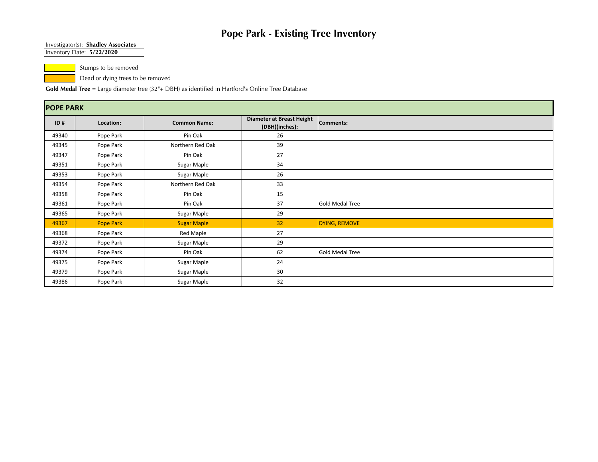#### Investigator(s): **Shadley Associates**

Inventory Date: **5/22/2020**

Stumps to be removed

Dead or dying trees to be removed

| <b>POPE PARK</b> |                  |                     |                                             |                        |  |
|------------------|------------------|---------------------|---------------------------------------------|------------------------|--|
| ID#              | Location:        | <b>Common Name:</b> | Diameter at Breast Height<br>(DBH)(inches): | Comments:              |  |
| 49340            | Pope Park        | Pin Oak             | 26                                          |                        |  |
| 49345            | Pope Park        | Northern Red Oak    | 39                                          |                        |  |
| 49347            | Pope Park        | Pin Oak             | 27                                          |                        |  |
| 49351            | Pope Park        | Sugar Maple         | 34                                          |                        |  |
| 49353            | Pope Park        | Sugar Maple         | 26                                          |                        |  |
| 49354            | Pope Park        | Northern Red Oak    | 33                                          |                        |  |
| 49358            | Pope Park        | Pin Oak             | 15                                          |                        |  |
| 49361            | Pope Park        | Pin Oak             | 37                                          | <b>Gold Medal Tree</b> |  |
| 49365            | Pope Park        | Sugar Maple         | 29                                          |                        |  |
| 49367            | <b>Pope Park</b> | <b>Sugar Maple</b>  | 32                                          | DYING, REMOVE          |  |
| 49368            | Pope Park        | Red Maple           | 27                                          |                        |  |
| 49372            | Pope Park        | Sugar Maple         | 29                                          |                        |  |
| 49374            | Pope Park        | Pin Oak             | 62                                          | Gold Medal Tree        |  |
| 49375            | Pope Park        | Sugar Maple         | 24                                          |                        |  |
| 49379            | Pope Park        | Sugar Maple         | 30                                          |                        |  |
| 49386            | Pope Park        | Sugar Maple         | 32                                          |                        |  |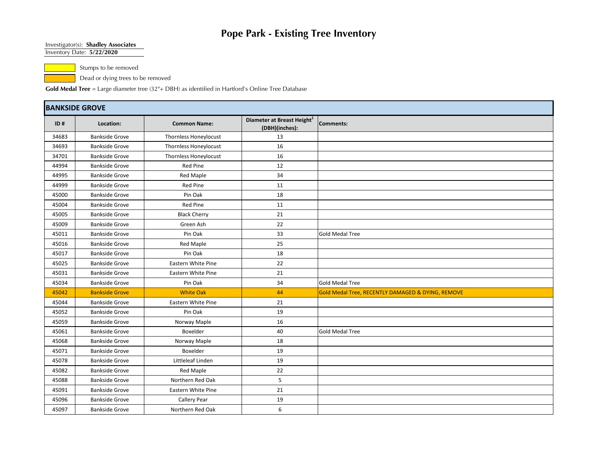#### Investigator(s): **Shadley Associates**

Inventory Date: **5/22/2020**

Stumps to be removed

Dead or dying trees to be removed

|       | <b>BANKSIDE GROVE</b> |                              |                                                          |                                                   |  |  |
|-------|-----------------------|------------------------------|----------------------------------------------------------|---------------------------------------------------|--|--|
| ID#   | Location:             | <b>Common Name:</b>          | Diameter at Breast Height <sup>1</sup><br>(DBH)(inches): | Comments:                                         |  |  |
| 34683 | <b>Bankside Grove</b> | Thornless Honeylocust        | 13                                                       |                                                   |  |  |
| 34693 | <b>Bankside Grove</b> | <b>Thornless Honeylocust</b> | 16                                                       |                                                   |  |  |
| 34701 | <b>Bankside Grove</b> | <b>Thornless Honeylocust</b> | 16                                                       |                                                   |  |  |
| 44994 | <b>Bankside Grove</b> | <b>Red Pine</b>              | 12                                                       |                                                   |  |  |
| 44995 | <b>Bankside Grove</b> | <b>Red Maple</b>             | 34                                                       |                                                   |  |  |
| 44999 | <b>Bankside Grove</b> | <b>Red Pine</b>              | 11                                                       |                                                   |  |  |
| 45000 | <b>Bankside Grove</b> | Pin Oak                      | 18                                                       |                                                   |  |  |
| 45004 | <b>Bankside Grove</b> | <b>Red Pine</b>              | 11                                                       |                                                   |  |  |
| 45005 | <b>Bankside Grove</b> | <b>Black Cherry</b>          | 21                                                       |                                                   |  |  |
| 45009 | <b>Bankside Grove</b> | Green Ash                    | 22                                                       |                                                   |  |  |
| 45011 | <b>Bankside Grove</b> | Pin Oak                      | 33                                                       | <b>Gold Medal Tree</b>                            |  |  |
| 45016 | <b>Bankside Grove</b> | <b>Red Maple</b>             | 25                                                       |                                                   |  |  |
| 45017 | <b>Bankside Grove</b> | Pin Oak                      | 18                                                       |                                                   |  |  |
| 45025 | <b>Bankside Grove</b> | Eastern White Pine           | 22                                                       |                                                   |  |  |
| 45031 | <b>Bankside Grove</b> | Eastern White Pine           | 21                                                       |                                                   |  |  |
| 45034 | <b>Bankside Grove</b> | Pin Oak                      | 34                                                       | <b>Gold Medal Tree</b>                            |  |  |
| 45042 | <b>Bankside Grove</b> | <b>White Oak</b>             | 44                                                       | Gold Medal Tree, RECENTLY DAMAGED & DYING, REMOVE |  |  |
| 45044 | <b>Bankside Grove</b> | Eastern White Pine           | 21                                                       |                                                   |  |  |
| 45052 | <b>Bankside Grove</b> | Pin Oak                      | 19                                                       |                                                   |  |  |
| 45059 | <b>Bankside Grove</b> | Norway Maple                 | 16                                                       |                                                   |  |  |
| 45061 | <b>Bankside Grove</b> | Boxelder                     | 40                                                       | <b>Gold Medal Tree</b>                            |  |  |
| 45068 | <b>Bankside Grove</b> | Norway Maple                 | 18                                                       |                                                   |  |  |
| 45071 | <b>Bankside Grove</b> | Boxelder                     | 19                                                       |                                                   |  |  |
| 45078 | <b>Bankside Grove</b> | Littleleaf Linden            | 19                                                       |                                                   |  |  |
| 45082 | <b>Bankside Grove</b> | Red Maple                    | 22                                                       |                                                   |  |  |
| 45088 | <b>Bankside Grove</b> | Northern Red Oak             | 5                                                        |                                                   |  |  |
| 45091 | <b>Bankside Grove</b> | Eastern White Pine           | 21                                                       |                                                   |  |  |
| 45096 | <b>Bankside Grove</b> | Callery Pear                 | 19                                                       |                                                   |  |  |
| 45097 | <b>Bankside Grove</b> | Northern Red Oak             | 6                                                        |                                                   |  |  |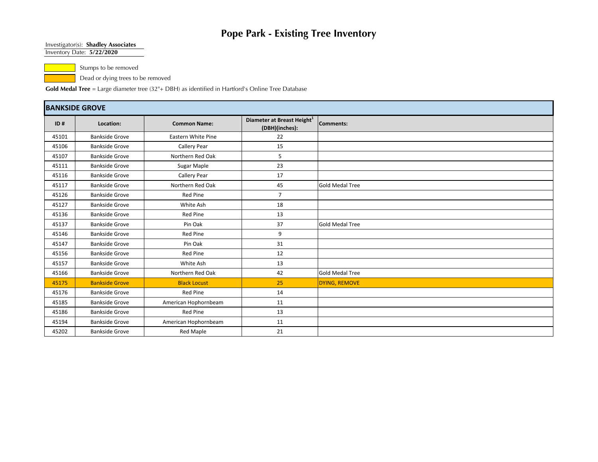#### Investigator(s): **Shadley Associates**

Inventory Date: **5/22/2020**

Stumps to be removed

Dead or dying trees to be removed

| <b>BANKSIDE GROVE</b> |                       |                      |                                                          |                        |  |
|-----------------------|-----------------------|----------------------|----------------------------------------------------------|------------------------|--|
| ID#                   | Location:             | <b>Common Name:</b>  | Diameter at Breast Height <sup>1</sup><br>(DBH)(inches): | Comments:              |  |
| 45101                 | <b>Bankside Grove</b> | Eastern White Pine   | 22                                                       |                        |  |
| 45106                 | <b>Bankside Grove</b> | Callery Pear         | 15                                                       |                        |  |
| 45107                 | <b>Bankside Grove</b> | Northern Red Oak     | 5                                                        |                        |  |
| 45111                 | <b>Bankside Grove</b> | Sugar Maple          | 23                                                       |                        |  |
| 45116                 | <b>Bankside Grove</b> | Callery Pear         | 17                                                       |                        |  |
| 45117                 | <b>Bankside Grove</b> | Northern Red Oak     | 45                                                       | <b>Gold Medal Tree</b> |  |
| 45126                 | <b>Bankside Grove</b> | Red Pine             | $\overline{7}$                                           |                        |  |
| 45127                 | <b>Bankside Grove</b> | White Ash            | 18                                                       |                        |  |
| 45136                 | <b>Bankside Grove</b> | Red Pine             | 13                                                       |                        |  |
| 45137                 | <b>Bankside Grove</b> | Pin Oak              | 37                                                       | <b>Gold Medal Tree</b> |  |
| 45146                 | <b>Bankside Grove</b> | <b>Red Pine</b>      | 9                                                        |                        |  |
| 45147                 | <b>Bankside Grove</b> | Pin Oak              | 31                                                       |                        |  |
| 45156                 | <b>Bankside Grove</b> | <b>Red Pine</b>      | 12                                                       |                        |  |
| 45157                 | <b>Bankside Grove</b> | White Ash            | 13                                                       |                        |  |
| 45166                 | <b>Bankside Grove</b> | Northern Red Oak     | 42                                                       | <b>Gold Medal Tree</b> |  |
| 45175                 | <b>Bankside Grove</b> | <b>Black Locust</b>  | 25                                                       | DYING, REMOVE          |  |
| 45176                 | <b>Bankside Grove</b> | <b>Red Pine</b>      | 14                                                       |                        |  |
| 45185                 | <b>Bankside Grove</b> | American Hophornbeam | 11                                                       |                        |  |
| 45186                 | <b>Bankside Grove</b> | Red Pine             | 13                                                       |                        |  |
| 45194                 | <b>Bankside Grove</b> | American Hophornbeam | 11                                                       |                        |  |
| 45202                 | <b>Bankside Grove</b> | Red Maple            | 21                                                       |                        |  |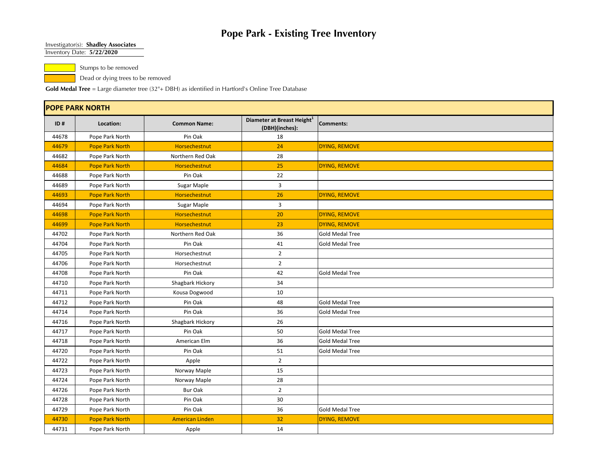#### Investigator(s): **Shadley Associates**

Inventory Date: **5/22/2020**

Stumps to be removed

Dead or dying trees to be removed

|       | <b>POPE PARK NORTH</b> |                        |                                                          |                        |  |  |
|-------|------------------------|------------------------|----------------------------------------------------------|------------------------|--|--|
| ID#   | Location:              | <b>Common Name:</b>    | Diameter at Breast Height <sup>1</sup><br>(DBH)(inches): | Comments:              |  |  |
| 44678 | Pope Park North        | Pin Oak                | 18                                                       |                        |  |  |
| 44679 | <b>Pope Park North</b> | <b>Horsechestnut</b>   | 24                                                       | DYING, REMOVE          |  |  |
| 44682 | Pope Park North        | Northern Red Oak       | 28                                                       |                        |  |  |
| 44684 | <b>Pope Park North</b> | Horsechestnut          | 25                                                       | DYING, REMOVE          |  |  |
| 44688 | Pope Park North        | Pin Oak                | 22                                                       |                        |  |  |
| 44689 | Pope Park North        | Sugar Maple            | 3                                                        |                        |  |  |
| 44693 | <b>Pope Park North</b> | Horsechestnut          | 26                                                       | DYING, REMOVE          |  |  |
| 44694 | Pope Park North        | Sugar Maple            | $\overline{3}$                                           |                        |  |  |
| 44698 | <b>Pope Park North</b> | Horsechestnut          | 20                                                       | DYING, REMOVE          |  |  |
| 44699 | <b>Pope Park North</b> | Horsechestnut          | 23                                                       | DYING, REMOVE          |  |  |
| 44702 | Pope Park North        | Northern Red Oak       | 36                                                       | Gold Medal Tree        |  |  |
| 44704 | Pope Park North        | Pin Oak                | 41                                                       | Gold Medal Tree        |  |  |
| 44705 | Pope Park North        | Horsechestnut          | $\overline{2}$                                           |                        |  |  |
| 44706 | Pope Park North        | Horsechestnut          | $\overline{2}$                                           |                        |  |  |
| 44708 | Pope Park North        | Pin Oak                | 42                                                       | <b>Gold Medal Tree</b> |  |  |
| 44710 | Pope Park North        | Shagbark Hickory       | 34                                                       |                        |  |  |
| 44711 | Pope Park North        | Kousa Dogwood          | 10                                                       |                        |  |  |
| 44712 | Pope Park North        | Pin Oak                | 48                                                       | <b>Gold Medal Tree</b> |  |  |
| 44714 | Pope Park North        | Pin Oak                | 36                                                       | <b>Gold Medal Tree</b> |  |  |
| 44716 | Pope Park North        | Shagbark Hickory       | 26                                                       |                        |  |  |
| 44717 | Pope Park North        | Pin Oak                | 50                                                       | <b>Gold Medal Tree</b> |  |  |
| 44718 | Pope Park North        | American Elm           | 36                                                       | Gold Medal Tree        |  |  |
| 44720 | Pope Park North        | Pin Oak                | 51                                                       | Gold Medal Tree        |  |  |
| 44722 | Pope Park North        | Apple                  | $\overline{2}$                                           |                        |  |  |
| 44723 | Pope Park North        | Norway Maple           | 15                                                       |                        |  |  |
| 44724 | Pope Park North        | Norway Maple           | 28                                                       |                        |  |  |
| 44726 | Pope Park North        | <b>Bur Oak</b>         | $\overline{2}$                                           |                        |  |  |
| 44728 | Pope Park North        | Pin Oak                | 30                                                       |                        |  |  |
| 44729 | Pope Park North        | Pin Oak                | 36                                                       | Gold Medal Tree        |  |  |
| 44730 | <b>Pope Park North</b> | <b>American Linden</b> | 32                                                       | DYING, REMOVE          |  |  |
| 44731 | Pope Park North        | Apple                  | 14                                                       |                        |  |  |